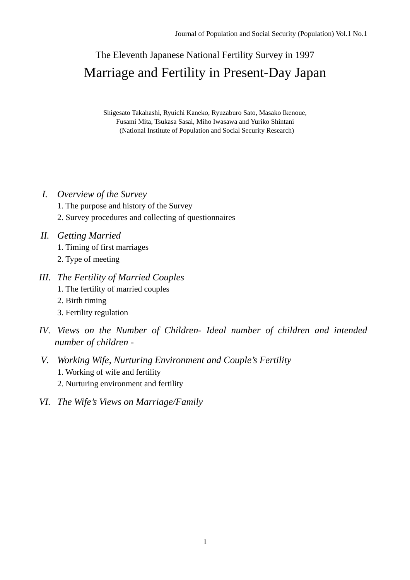# The Eleventh Japanese National Fertility Survey in 1997 Marriage and Fertility in Present-Day Japan

Shigesato Takahashi, Ryuichi Kaneko, Ryuzaburo Sato, Masako Ikenoue, Fusami Mita, Tsukasa Sasai, Miho Iwasawa and Yuriko Shintani (National Institute of Population and Social Security Research)

# *I. Overview of the Survey*

- 1. The purpose and history of the Survey
- 2. Survey procedures and collecting of questionnaires

# *II. Getting Married*

- 1. Timing of first marriages
- 2. Type of meeting
- *III. The Fertility of Married Couples* 
	- 1. The fertility of married couples
	- 2. Birth timing
	- 3. Fertility regulation
- *IV. Views on the Number of Children- Ideal number of children and intended number of children -*
- *V. Working Wife, Nurturing Environment and Couple's Fertility*  1. Working of wife and fertility
	- 2. Nurturing environment and fertility
- *VI. The Wife's Views on Marriage/Family*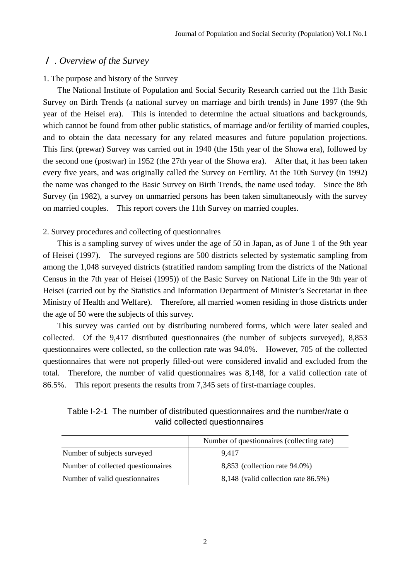## *. Overview of the Survey*

## 1. The purpose and history of the Survey

The National Institute of Population and Social Security Research carried out the 11th Basic Survey on Birth Trends (a national survey on marriage and birth trends) in June 1997 (the 9th year of the Heisei era). This is intended to determine the actual situations and backgrounds, which cannot be found from other public statistics, of marriage and/or fertility of married couples, and to obtain the data necessary for any related measures and future population projections. This first (prewar) Survey was carried out in 1940 (the 15th year of the Showa era), followed by the second one (postwar) in 1952 (the 27th year of the Showa era). After that, it has been taken every five years, and was originally called the Survey on Fertility. At the 10th Survey (in 1992) the name was changed to the Basic Survey on Birth Trends, the name used today. Since the 8th Survey (in 1982), a survey on unmarried persons has been taken simultaneously with the survey on married couples. This report covers the 11th Survey on married couples.

## 2. Survey procedures and collecting of questionnaires

This is a sampling survey of wives under the age of 50 in Japan, as of June 1 of the 9th year of Heisei (1997). The surveyed regions are 500 districts selected by systematic sampling from among the 1,048 surveyed districts (stratified random sampling from the districts of the National Census in the 7th year of Heisei (1995)) of the Basic Survey on National Life in the 9th year of Heisei (carried out by the Statistics and Information Department of Minister's Secretariat in thee Ministry of Health and Welfare). Therefore, all married women residing in those districts under the age of 50 were the subjects of this survey.

This survey was carried out by distributing numbered forms, which were later sealed and collected. Of the 9,417 distributed questionnaires (the number of subjects surveyed), 8,853 questionnaires were collected, so the collection rate was 94.0%. However, 705 of the collected questionnaires that were not properly filled-out were considered invalid and excluded from the total. Therefore, the number of valid questionnaires was 8,148, for a valid collection rate of 86.5%. This report presents the results from 7,345 sets of first-marriage couples.

Table I-2-1 The number of distributed questionnaires and the number/rate of valid collected questionnaires

|                                    | Number of questionnaires (collecting rate) |
|------------------------------------|--------------------------------------------|
| Number of subjects surveyed        | 9.417                                      |
| Number of collected questionnaires | 8,853 (collection rate 94.0%)              |
| Number of valid question naires    | 8,148 (valid collection rate 86.5%)        |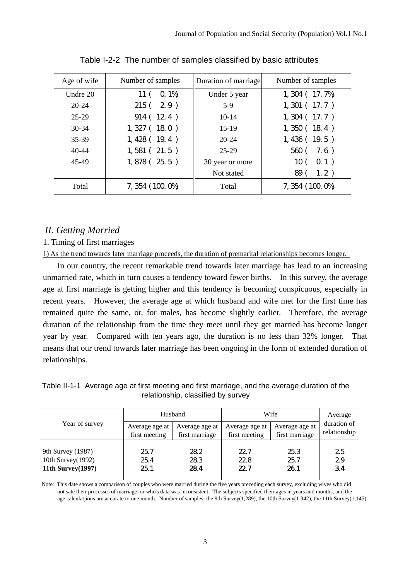| Age of wife | Number of samples         | Duration of marriage | Number of samples       |
|-------------|---------------------------|----------------------|-------------------------|
| Undre 20    | $Q_1\$<br>11 <sup>′</sup> | Under 5 year         | $1, 304$ ( $17. 7\%$ )  |
| $20 - 24$   | 215(29)                   | $5-9$                | 1, 301 (17.7)           |
| $25 - 29$   | 914(124)                  | $10-14$              | $1, 304$ (17.7)         |
| $30 - 34$   | 1, 327(180)               | $15-19$              | 1,350(184)              |
| 35-39       | 1,428(19.4)               | $20 - 24$            | 1,436(19.5)             |
| $40 - 44$   | 1,581(21.5)               | 25-29                | 560(7.6)                |
| 45-49       | $1,878$ (25.5)            | 30 year or more      | 10 <sub>0</sub><br>0.1) |
|             |                           | Not stated           | 1.2)<br>89(             |
| Total       | 7, 354 (100, 0%)          | Total                | 7, 354 (100.0%)         |

Table I-2-2 The number of samples classified by basic attributes

# *II. Getting Married*

## 1. Timing of first marriages

1) As the trend towards later marriage proceeds, the duration of premarital relationships becomes longer.

In our country, the recent remarkable trend towards later marriage has lead to an increasing unmarried rate, which in turn causes a tendency toward fewer births. In this survey, the average age at first marriage is getting higher and this tendency is becoming conspicuous, especially in recent years. However, the average age at which husband and wife met for the first time has remained quite the same, or, for males, has become slightly earlier. Therefore, the average duration of the relationship from the time they meet until they get married has become longer year by year. Compared with ten years ago, the duration is no less than 32% longer. That means that our trend towards later marriage has been ongoing in the form of extended duration of relationships.

Table II-1-1 Average age at first meeting and first marriage, and the average duration of the relationship, classified by survey

| Year of survey                                                      |                      | Husband            | Wife                 | Average             |                |  |  |
|---------------------------------------------------------------------|----------------------|--------------------|----------------------|---------------------|----------------|--|--|
|                                                                     | Average age at       | Average age at     | Average age at       | Average age at      | duration of    |  |  |
|                                                                     | first meeting        | first marriage     | first meeting        | first marriage      | relationship   |  |  |
| 9th Survey (1987)<br>10th Survey(1992)<br><b>11th Survey</b> (1997) | 25.7<br>25.4<br>25.1 | 28.2<br>283<br>284 | 22.7<br>22.8<br>22.7 | 25.3<br>25.7<br>261 | 25<br>29<br>34 |  |  |

Note: This date shows a comparison of couples who were married during the five years preceding each survey, excluding wives who did not sate their processes of marriage, or who's data was inconsistent. The subjects specified their ages in years and months, and the age calculatjions are accurate to one month. Number of samples: the 9th Survey(1,289), the 10th Survey(1,342), the 11th Survey(1,145).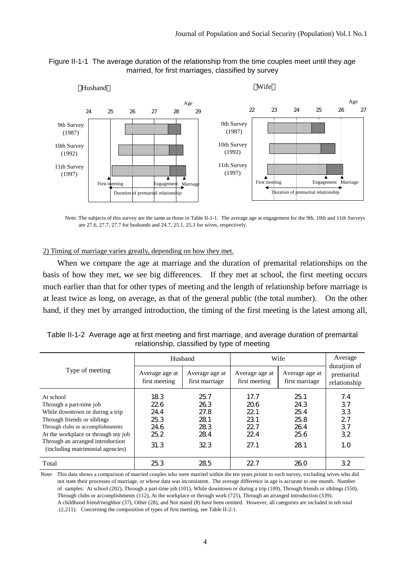



Note: The subjects of this survey are the same as those in Table II-1-1. The average age at engagement for the 9th, 10th and 11th Surveys are 27.6, 27.7, 27.7 for husbands and 24.7, 25.1, 25.3 for wives, respectively.

2) Timing of marriage varies greatly, depending on how they met.

When we compare the age at marriage and the duration of premarital relationships on the basis of how they met, we see big differences. If they met at school, the first meeting occurs much earlier than that for other types of meeting and the length of relationship before marriage is at least twice as long, on average, as that of the general public (the total number). On the other hand, if they met by arranged introduction, the timing of the first meeting is the latest among all,

|                                                                                                                                                                                                                                                          |                                                     | Husband                                          | Wife                                               | Average<br>duration of                             |                                          |  |  |  |  |
|----------------------------------------------------------------------------------------------------------------------------------------------------------------------------------------------------------------------------------------------------------|-----------------------------------------------------|--------------------------------------------------|----------------------------------------------------|----------------------------------------------------|------------------------------------------|--|--|--|--|
| Type of meeting                                                                                                                                                                                                                                          | Average age at<br>first meeting                     | Average age at<br>first marriage                 | Average age at<br>first meeting                    | Average age at<br>first marriage                   | premarital<br>relationship               |  |  |  |  |
| At school<br>Through a part-time job<br>While downtown or during a trip<br>Through friends or siblings<br>Through clubs or accomplishments<br>At the workplace or through my job<br>Through an arranged introduction<br>(including matrimonial agencies) | 183<br>22.6<br>24.4<br>25.3<br>24.6<br>25.2<br>31.3 | 257<br>26.3<br>27.8<br>281<br>28.3<br>284<br>323 | 17.7<br>206<br>22.1<br>231<br>22.7<br>22.4<br>27.1 | 25.1<br>24.3<br>25.4<br>25.8<br>264<br>25.6<br>281 | 7.4<br>37<br>33<br>27<br>37<br>32<br>1.0 |  |  |  |  |
| Total                                                                                                                                                                                                                                                    | 25.3                                                | 28.5                                             | 22.7                                               | 26.0                                               | 32                                       |  |  |  |  |

Table II-1-2 Average age at first meeting and first marriage, and average duration of premarital relationship, classified by type of meeting

Note: This data shows a comparison of married couples who were married within the ten years priour to each survey, excluding wives who did not state their processes of marriage, or whose data was inconsistent. The average difference in age is accurate to one month. Numbet of samples: At school (202), Through a part-time job (101), While downtown or during a trip (109), Through friends or siblings (550), Through clubs or accomplishments (112), At the workplace or through work (725), Through an arranged introduction (339). A childhood friend/neighbor (37), Other (28), and Not stated (8) have been omitted. However, all categories are included in teh total (2,211). Concerning the composition of types of first meeting, see Table II-2-1.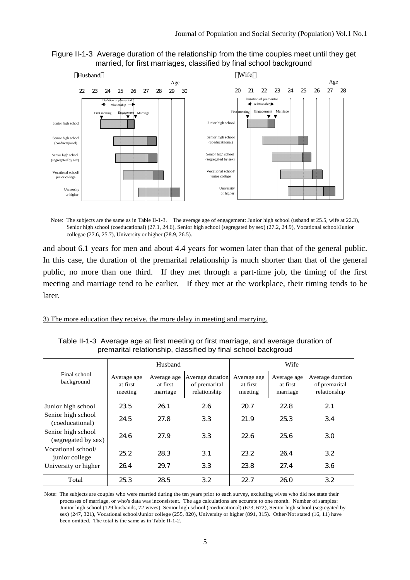



Note: The subjects are the same as in Table II-1-3. The average age of engagement: Junior high school (usband at 25.5, wife at 22.3), Senior high school (coeducational) (27.1, 24.6), Senior high school (segregated by sex) (27.2, 24.9), Vocational school/Junior collegae (27.6, 25.7), University or higher (28.9, 26.5).

and about 6.1 years for men and about 4.4 years for women later than that of the general public. In this case, the duration of the premarital relationship is much shorter than that of the general public, no more than one third. If they met through a part-time job, the timing of the first meeting and marriage tend to be earlier. If they met at the workplace, their timing tends to be later.

3) The more education they receive, the more delay in meeting and marrying.

|                                           | Husband                            |                                     |                                                   | Wife                               |                                     |                                                   |  |
|-------------------------------------------|------------------------------------|-------------------------------------|---------------------------------------------------|------------------------------------|-------------------------------------|---------------------------------------------------|--|
| Final school<br>background                | Average age<br>at first<br>meeting | Average age<br>at first<br>marriage | Average duration<br>of premarital<br>relationship | Average age<br>at first<br>meeting | Average age<br>at first<br>marriage | Average duration<br>of premarital<br>relationship |  |
| Junior high school                        | 23.5                               | 261                                 | 26                                                | 20.7                               | 22.8                                | 21                                                |  |
| Senior high school<br>(coeducational)     | 24.5                               | 27.8                                | 33                                                | 21.9                               | 25.3                                | 34                                                |  |
| Senior high school<br>(segregated by sex) | 24.6                               | 27.9                                | 33                                                | 22.6                               | 256                                 | 30                                                |  |
| Vocational school/<br>junior college      | 25.2                               | 28.3                                | 31                                                | 232                                | 264                                 | 32                                                |  |
| University or higher                      | 264                                | 29.7                                | 33                                                | 238                                | 27.4                                | 36                                                |  |
| Total                                     | 25.3                               | 28.5                                | 32                                                | 22.7                               | 26.0                                | 32                                                |  |

Table II-1-3 Average age at first meeting or first marriage, and average duration of premarital relationship, classified by final school backgroud

Note: The subjects are couples who were married during the ten years prior to each survey, excluding wives who did not state their processes of marriage, or who's data was inconsistent. The age calculations are accurate to one month. Number of samples: Junior high school (129 husbands, 72 wives), Senior high school (coeducational) (673, 672), Senior high school (segregated by sex) (247, 321), Vocational school/Junior college (255, 820), University or higher (891, 315). Other/Not stated (16, 11) have been omitted. The total is the same as in Table II-1-2.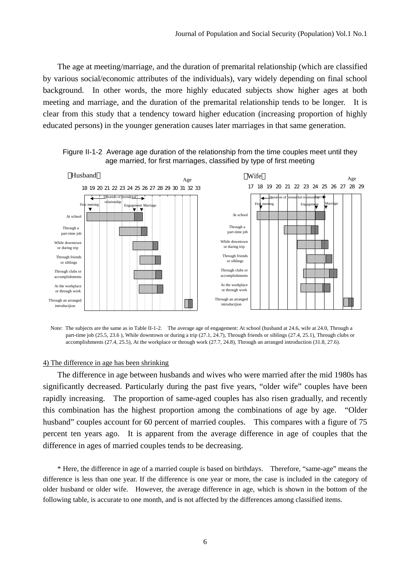The age at meeting/marriage, and the duration of premarital relationship (which are classified by various social/economic attributes of the individuals), vary widely depending on final school background. In other words, the more highly educated subjects show higher ages at both meeting and marriage, and the duration of the premarital relationship tends to be longer. It is clear from this study that a tendency toward higher education (increasing proportion of highly educated persons) in the younger generation causes later marriages in that same generation.



Figure II-1-2 Average age duration of the relationship from the time couples meet until they age married, for first marriages, classified by type of first meeting

Note: The subjects are the same as in Table II-1-2. The average age of engagement: At school (husband at 24.6, wife at 24.0, Through a part-time job (25.5, 23.6 ), While downtown or during a trip (27.1, 24.7), Through friends or siblings (27.4, 25.1), Through clubs or accomplishments (27.4, 25.5), At the workplace or through work (27.7, 24.8), Through an arranged introduction (31.8, 27.6).

#### 4) The difference in age has been shrinking

The difference in age between husbands and wives who were married after the mid 1980s has significantly decreased. Particularly during the past five years, "older wife" couples have been rapidly increasing. The proportion of same-aged couples has also risen gradually, and recently this combination has the highest proportion among the combinations of age by age. "Older husband" couples account for 60 percent of married couples. This compares with a figure of 75 percent ten years ago. It is apparent from the average difference in age of couples that the difference in ages of married couples tends to be decreasing.

\* Here, the difference in age of a married couple is based on birthdays. Therefore, "same-age" means the difference is less than one year. If the difference is one year or more, the case is included in the category of older husband or older wife. However, the average difference in age, which is shown in the bottom of the following table, is accurate to one month, and is not affected by the differences among classified items.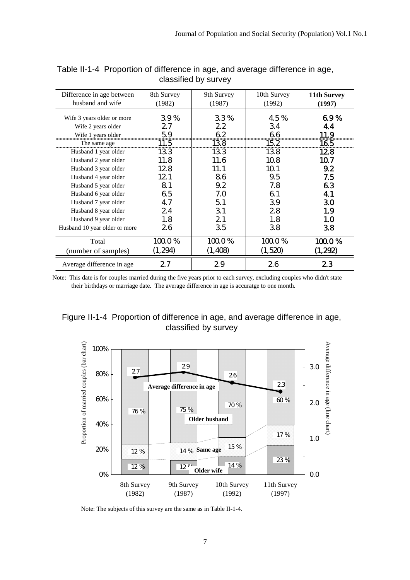| Difference in age between<br>husband and wife                          | 8th Survey<br>(1982)        | 9th Survey<br>(1987)               | 10th Survey<br>(1992) | 11th Survey<br>(1997) |
|------------------------------------------------------------------------|-----------------------------|------------------------------------|-----------------------|-----------------------|
| Wife 3 years older or more<br>Wife 2 years older<br>Wife 1 years older | 39%<br>27<br>5.9            | 33%<br>22<br>62                    | 45%<br>34<br>66       | 69%<br>44<br>.1.9<br> |
| The same age                                                           | $\frac{11.5}{\frac{1}{20}}$ | $\frac{138}{138}$ $\frac{152}{15}$ |                       | 165                   |
| Husband 1 year older                                                   | 133                         | 133                                | 138                   | 128                   |
| Husband 2 year older                                                   | 11.8                        | 11.6                               | 10.8                  | 10.7                  |
| Husband 3 year older                                                   | 12.8                        | 11.1                               | 10.1                  | 9.2                   |
| Husband 4 year older                                                   | 12.1                        | 86                                 | 9.5                   | 7.5                   |
| Husband 5 year older                                                   | 81                          | 9.2                                | 7.8                   | 63                    |
| Husband 6 year older                                                   | 6.5                         | 7.0                                | 61                    | 41                    |
| Husband 7 year older                                                   | 47                          | 5.1                                | 39                    | 30                    |
| Husband 8 year older                                                   | 24                          | 31                                 | 28                    | 1.9                   |
| Husband 9 year older                                                   | 1.8                         | 21                                 | 1.8                   | 1.0                   |
| Husband 10 year older or more                                          | 26                          | 35                                 | 38                    | 38                    |
| Total                                                                  | 100.0%                      | 100.0%                             | 100.0%                | $1000\%$              |
| (number of samples)                                                    | (1, 294)                    | (1, 408)                           | (1,520)               | (1,292)               |
| Average difference in age.                                             | 27                          | 29                                 | 26                    | 23                    |

Table II-1-4 Proportion of difference in age, and average difference in age, classified by survey

Note: This date is for couples married during the five years prior to each survey, excluding couples who didn't state their birthdays or marriage date. The average difference in age is accuratge to one month.





Note: The subjects of this survey are the same as in Table II-1-4.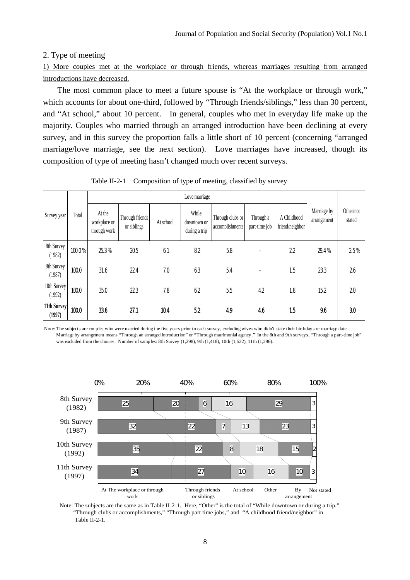#### 2. Type of meeting

1) More couples met at the workplace or through friends, whereas marriages resulting from arranged introductions have decreased.

The most common place to meet a future spouse is "At the workplace or through work," which accounts for about one-third, followed by "Through friends/siblings," less than 30 percent, and "At school," about 10 percent. In general, couples who met in everyday life make up the majority. Couples who married through an arranged introduction have been declining at every survey, and in this survey the proportion falls a little short of 10 percent (concerning "arranged marriage/love marriage, see the next section). Love marriages have increased, though its composition of type of meeting hasn't changed much over recent surveys.

|                       |        | Love marriage                          |                                |           |                                       |                                     |                            |                                |                            |                     |
|-----------------------|--------|----------------------------------------|--------------------------------|-----------|---------------------------------------|-------------------------------------|----------------------------|--------------------------------|----------------------------|---------------------|
| Survey year           | Total  | At the<br>workplace or<br>through work | Through friends<br>or siblings | At school | While<br>downtown or<br>during a trip | Through clubs or<br>accomplishments | Through a<br>part-time job | A Childhood<br>friend/neighbor | Marriage by<br>arrangement | Other/not<br>stated |
| 8th Survey<br>(1982)  | 100.0% | 25.3%                                  | 20.5                           | 61        | 82                                    | 5.8                                 |                            | 22                             | 29.4%                      | 25%                 |
| 9th Survey<br>(1987)  | 100.0  | 31.6                                   | 22.4                           | 7.0       | 63                                    | 54                                  | $\blacksquare$             | 1.5                            | 233                        | 26                  |
| 10th Survey<br>(1992) | 100.0  | 35.0                                   | 223                            | 7.8       | 62                                    | 5.5                                 | 42                         | 1.8                            | 15.2                       | 20                  |
| 11th Survey<br>(1997) | 1000   | 336                                    | 27.1                           | 104       | 52                                    | 49                                  | 46                         | 1.5                            | 96                         | 30                  |

Table II-2-1 Composition of type of meeting, classified by survey

Note: The subjects are couples who were married during the five years prior to each survey, excluding wives who didn't state their birthdays or marriage date. Marriage by arrangement means "Through an arranged introduction" or "Through matrimonial agency." In the 8th and 9th surveys, "Through a part-time job" was excluded from the choices. Number of samples: 8th Survey (1,298), 9th (1,418), 10th (1,522), 11th (1,296).



Note: The subjects are the same as in Table II-2-1. Here, "Other" is the total of "While downtown or during a trip," "Through clubs or accomplishments," "Through part time jobs," and "A childhood friend/neighbor" in Table II-2-1.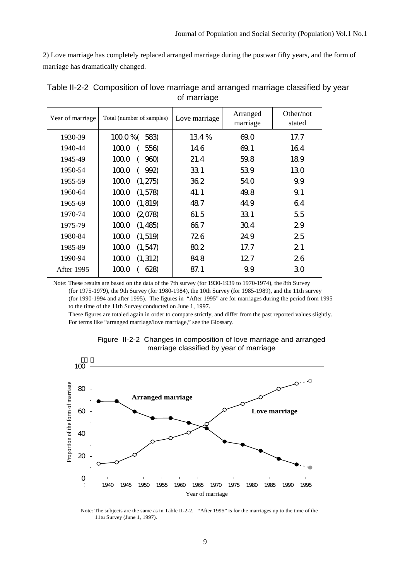2) Love marriage has completely replaced arranged marriage during the postwar fifty years, and the form of marriage has dramatically changed.

| Year of marriage | Total (number of samples) | Love marriage | Arranged<br>marriage | Other/not<br>stated |
|------------------|---------------------------|---------------|----------------------|---------------------|
| 1930-39          | $1000\%$ (<br>583)        | 134%          | 69.0                 | 17.7                |
| 1940-44          | 100.0<br>556)             | 14.6          | 69.1                 | 164                 |
| 1945-49          | 100.0<br>960)             | 21.4          | 59.8                 | 189                 |
| 1950-54          | 100.0<br>992)             | 331           | 539                  | 130                 |
| 1955-59          | 100.0<br>(1, 275)         | 36.2          | 54.0                 | 9.9                 |
| 1960-64          | 1000<br>(1,578)           | 41.1          | 49.8                 | 9.1                 |
| 1965-69          | 100.0<br>(1, 819)         | 48.7          | 44.9                 | 64                  |
| 1970-74          | 100.0<br>(2,078)          | 61.5          | 331                  | 5.5                 |
| 1975-79          | 1000<br>(1, 485)          | 66.7          | 30.4                 | 29                  |
| 1980-84          | 100.0<br>(1, 519)         | 726           | 249                  | 25                  |
| 1985-89          | 1000<br>(1,547)           | 80.2          | 17.7                 | 21                  |
| 1990-94          | 100.0<br>(1, 312)         | 84.8          | 12.7                 | 26                  |
| After 1995       | 100.0<br>628)             | 87.1          | 9.9                  | 30                  |

| Table II-2-2 Composition of love marriage and arranged marriage classified by year |             |  |  |
|------------------------------------------------------------------------------------|-------------|--|--|
|                                                                                    | of marriage |  |  |

Note: These results are based on the data of the 7th survey (for 1930-1939 to 1970-1974), the 8th Survey (for 1975-1979), the 9th Survey (for 1980-1984), the 10th Survey (for 1985-1989), and the 11th survey (for 1990-1994 and after 1995). The figures in "After 1995" are for marriages during the period from 1995 to the time of the 11th Survey conducted on June 1, 1997.

 These figures are totaled again in order to compare strictly, and differ from the past reported values slightly. For terms like "arranged marriage/love marriage," see the Glossary.





Note: The subjects are the same as in Table II-2-2. "After 1995" is for the marriages up to the time of the 11tu Survey (June 1, 1997).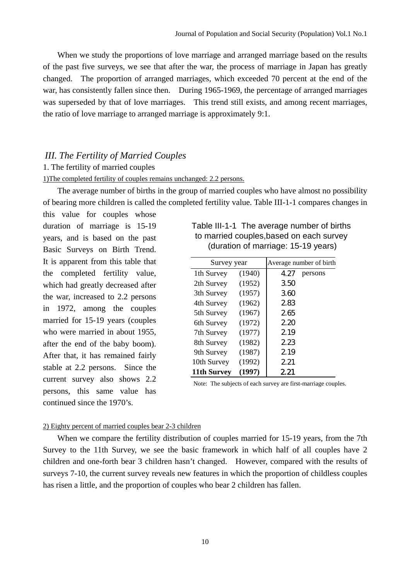When we study the proportions of love marriage and arranged marriage based on the results of the past five surveys, we see that after the war, the process of marriage in Japan has greatly changed. The proportion of arranged marriages, which exceeded 70 percent at the end of the war, has consistently fallen since then. During 1965-1969, the percentage of arranged marriages was superseded by that of love marriages. This trend still exists, and among recent marriages, the ratio of love marriage to arranged marriage is approximately 9:1.

## *III. The Fertility of Married Couples*

#### 1. The fertility of married couples

## 1)The completed fertility of couples remains unchanged: 2.2 persons.

The average number of births in the group of married couples who have almost no possibility of bearing more children is called the completed fertility value. Table III-1-1 compares changes in

this value for couples whose duration of marriage is 15-19 years, and is based on the past Basic Surveys on Birth Trend. It is apparent from this table that the completed fertility value, which had greatly decreased after the war, increased to 2.2 persons in 1972, among the couples married for 15-19 years (couples who were married in about 1955, after the end of the baby boom). After that, it has remained fairly stable at 2.2 persons. Since the current survey also shows 2.2 persons, this same value has continued since the 1970's.

## Table III-1-1 The average number of births to married couples,based on each survey (duration of marriage: 15-19 years)

| Survey year |        |      | Average number of birth |
|-------------|--------|------|-------------------------|
| 1th Survey  | (1940) | 4.27 | persons                 |
| 2th Survey  | (1952) | 350  |                         |
| 3th Survey  | (1957) | 360  |                         |
| 4th Survey  | (1962) | 283  |                         |
| 5th Survey  | (1967) | 265  |                         |
| 6th Survey  | (1972) | 2.20 |                         |
| 7th Survey  | (1977) | 2.19 |                         |
| 8th Survey  | (1982) | 223  |                         |
| 9th Survey  | (1987) | 2.19 |                         |
| 10th Survey | (1992) | 2.21 |                         |
| 11th Survey | (1997) | 221  |                         |

Note: The subjects of each survey are first-marriage couples.

#### 2) Eighty percent of married couples bear 2-3 children

When we compare the fertility distribution of couples married for 15-19 years, from the 7th Survey to the 11th Survey, we see the basic framework in which half of all couples have 2 children and one-forth bear 3 children hasn't changed. However, compared with the results of surveys 7-10, the current survey reveals new features in which the proportion of childless couples has risen a little, and the proportion of couples who bear 2 children has fallen.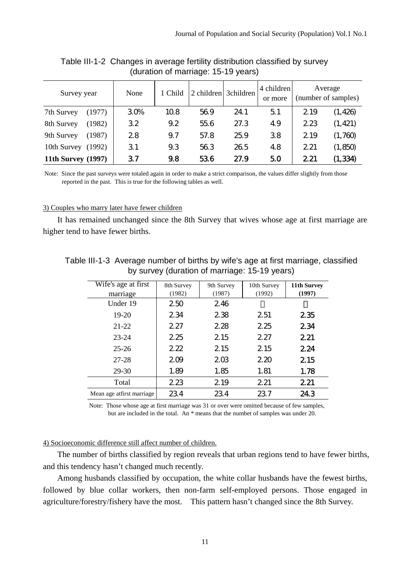| Survey year               |        | None | 1 Child | 2 children | 3children | 4 children<br>or more |      | Average<br>(number of samples) |
|---------------------------|--------|------|---------|------------|-----------|-----------------------|------|--------------------------------|
| 7th Survey                | (1977) | 30%  | 10.8    | 56.9       | 24.1      | 51                    | 2.19 | (1, 426)                       |
| 8th Survey                | (1982) | 32   | 9.2     | 55.6       | 27.3      | 49                    | 223  | (1, 421)                       |
| 9th Survey                | (1987) | 28   | 9.7     | 57.8       | 25.9      | 38                    | 2.19 | (1,760)                        |
| 10th Survey               | (1992) | 31   | 9.3     | 56.3       | 26.5      | 4.8                   | 2.21 | (1, 850)                       |
| <b>11th Survey (1997)</b> |        | 37   | 9.8     | 536        | 27.9      | 50                    | 2.21 | (1, 334)                       |

Table III-1-2 Changes in average fertility distribution classified by survey (duration of marriage: 15-19 years)

Note: Since the past surveys were totaled again in order to make a strict comparison, the values differ slightly from those reported in the past. This is true for the following tables as well.

#### 3) Couples who marry later have fewer children

It has remained unchanged since the 8th Survey that wives whose age at first marriage are higher tend to have fewer births.

| Table III-1-3 Average number of births by wife's age at first marriage, classified |                                                                                                                                                                                                           |  |  |  |  |  |  |  |  |  |
|------------------------------------------------------------------------------------|-----------------------------------------------------------------------------------------------------------------------------------------------------------------------------------------------------------|--|--|--|--|--|--|--|--|--|
| by survey (duration of marriage: 15-19 years)                                      |                                                                                                                                                                                                           |  |  |  |  |  |  |  |  |  |
|                                                                                    | Wife's age at first $\begin{vmatrix} 9 & 10 & 0 \\ 0 & 10 & 0 \end{vmatrix}$ and $\begin{vmatrix} 1 & 10 & 11 \\ 0 & 11 & 11 \end{vmatrix}$ and $\begin{vmatrix} 1 & 1 & 11 \\ 0 & 11 & 11 \end{vmatrix}$ |  |  |  |  |  |  |  |  |  |

| Wife's age at first        | 8th Survey | 9th Survey | 10th Survey | 11th Survey |
|----------------------------|------------|------------|-------------|-------------|
| marriage                   | (1982)     | (1987)     | (1992)      | (1997)      |
| Under 19                   | 250        | 246        |             |             |
| $19-20$                    | 234        | 238        | 2.51        | 235         |
| $21 - 22$                  | 2.27       | 2.28       | 2.25        | 234         |
| $23 - 24$                  | 2.25       | 2.15       | 2.27        | 2.21        |
| $25 - 26$                  | 222        | 2.15       | 2.15        | 224         |
| 27-28                      | 209        | 203        | 2.20        | 2.15        |
| 29-30                      | 1.89       | 1.85       | 1.81        | 1.78        |
| Total                      | 223        | 2.19       | 2.21        | 221         |
| Mean age at first marriage | 234        | 234        | 23.7        | 243         |

Note: Those whose age at first marriage was 31 or over were omitted because of few samples, but are included in the total. An \* means that the numbet of samples was under 20.

#### 4) Socioeconomic difference still affect number of children.

The number of births classified by region reveals that urban regions tend to have fewer births, and this tendency hasn't changed much recently.

Among husbands classified by occupation, the white collar husbands have the fewest births, followed by blue collar workers, then non-farm self-employed persons. Those engaged in agriculture/forestry/fishery have the most. This pattern hasn't changed since the 8th Survey.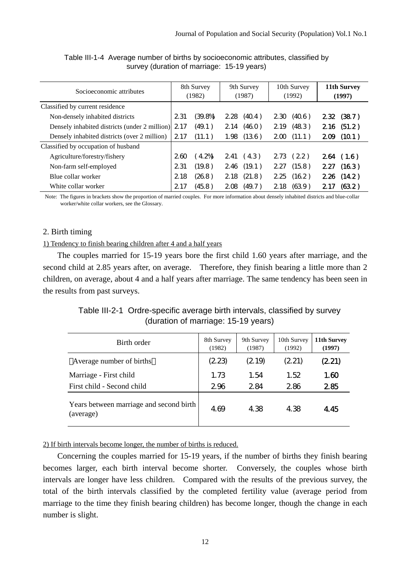| Socioeconomic attributes                      | 8th Survey<br>(1982) |         | 9th Survey<br>(1987) |        | 10th Survey<br>(1992) |          | 11th Survey<br>(1997) |            |
|-----------------------------------------------|----------------------|---------|----------------------|--------|-----------------------|----------|-----------------------|------------|
| Classified by current residence               |                      |         |                      |        |                       |          |                       |            |
| Non-densely inhabited districts               | 2.31                 | (39.8%  | 2.28                 | (40.4) | 230                   | (40.6)   | 232                   | (387)      |
| Densely inhabited districts (under 2 million) | 2.17                 | (49.1)  | 2.14                 | (46.0) | 2.19                  | (483)    |                       | 2.16(51.2) |
| Densely inhabited districts (over 2 million)  | 2.17                 | (11.1)  | 1.98                 | (13.6) | 200                   | (11.1)   | 209                   | (10.1)     |
| Classified by occupation of husband           |                      |         |                      |        |                       |          |                       |            |
| Agriculture/forestry/fishery                  | 260                  | $4.2\%$ | 2.41                 | (43)   |                       | 273 (22) | 264                   | (1.6)      |
| Non-farm self-employed                        | 2.31                 | (19.8)  | 2.46                 | (19.1) | 2.27                  | (15.8)   | 227                   | (163)      |
| Blue collar worker                            | 2.18                 | (26.8)  | 2.18                 | (21.8) | 2.25                  | (16.2)   | 226                   | (14.2)     |
| White collar worker                           | 2.17                 | (45.8)  | 208                  | (49.7) | 2.18                  | (639)    | 217                   | (632)      |

Table III-1-4 Average number of births by socioeconomic attributes, classified by survey (duration of marriage: 15-19 years)

Note: The figures in brackets show the proportion of married couples. For more information about densely inhabited districts and blue-collar worker/white collar workers, see the Glossary.

## 2. Birth timing

## 1) Tendency to finish bearing children after 4 and a half years

The couples married for 15-19 years bore the first child 1.60 years after marriage, and the second child at 2.85 years after, on average. Therefore, they finish bearing a little more than 2 children, on average, about 4 and a half years after marriage. The same tendency has been seen in the results from past surveys.

Table III-2-1 Ordre-specific average birth intervals, classified by survey (duration of marriage: 15-19 years)

| Birth order                                          | 8th Survey<br>(1982) | 9th Survey<br>(1987) | 10th Survey<br>(1992) | 11th Survey<br>(1997) |
|------------------------------------------------------|----------------------|----------------------|-----------------------|-----------------------|
| Average number of births                             | (2.23)               | (2.19)               | (2.21)                | (2.21)                |
| Marriage - First child                               | 1.73                 | 1.54                 | 1.52                  | 1.60                  |
| First child - Second child                           | 296                  | 284                  | 286                   | 285                   |
| Years between marriage and second birth<br>(average) | 4.69                 | 4.38                 | 4.38                  | 4.45                  |

2) If birth intervals become longer, the number of births is reduced.

Concerning the couples married for 15-19 years, if the number of births they finish bearing becomes larger, each birth interval become shorter. Conversely, the couples whose birth intervals are longer have less children. Compared with the results of the previous survey, the total of the birth intervals classified by the completed fertility value (average period from marriage to the time they finish bearing children) has become longer, though the change in each number is slight.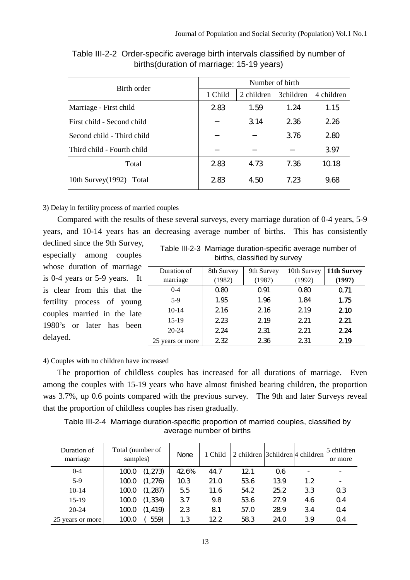| Birth order                   | Number of birth |            |           |            |  |  |  |  |
|-------------------------------|-----------------|------------|-----------|------------|--|--|--|--|
|                               | 1 Child         | 2 children | 3children | 4 children |  |  |  |  |
| Marriage - First child        | 283             | 1.59       | 1.24      | 1.15       |  |  |  |  |
| First child - Second child    |                 | 3.14       | 236       | 2.26       |  |  |  |  |
| Second child - Third child    |                 |            | 3.76      | 2.80       |  |  |  |  |
| Third child - Fourth child    |                 |            |           | 397        |  |  |  |  |
| Total                         | 283             | 4.73       | 7.36      | 10.18      |  |  |  |  |
| 10th Survey $(1992)$<br>Total | 2.83            | 4.50       | 7.23      | 968        |  |  |  |  |

Table III-2-2 Order-specific average birth intervals classified by number of births(duration of marriage: 15-19 years)

## 3) Delay in fertility process of married couples

Compared with the results of these several surveys, every marriage duration of 0-4 years, 5-9 years, and 10-14 years has an decreasing average number of births. This has consistently declined since the 9th Survey,

especially among couples whose duration of marriage is 0-4 years or 5-9 years. It is clear from this that the fertility process of young couples married in the late 1980's or later has been delayed.

|  |                              | Table III-2-3 Marriage duration-specific average number of |
|--|------------------------------|------------------------------------------------------------|
|  | births, classified by survey |                                                            |

| Duration of      | 8th Survey | 9th Survey | 10th Survey | 11th Survey |
|------------------|------------|------------|-------------|-------------|
| marriage         | (1982)     | (1987)     | (1992)      | (1997)      |
| $0 - 4$          | 0.80       | Q.91       | 0.80        | 0.71        |
| $5-9$            | 1.95       | 1.96       | 1.84        | 1.75        |
| $10-14$          | 2.16       | 2.16       | 2.19        | 210         |
| $15-19$          | 2.23       | 2.19       | 2.21        | 2.21        |
| $20 - 24$        | 2.24       | 2.31       | 2.21        | 2.24        |
| 25 years or more | 2.32       | 236        | 2.31        | 219         |

## 4) Couples with no children have increased

The proportion of childless couples has increased for all durations of marriage. Even among the couples with 15-19 years who have almost finished bearing children, the proportion was 3.7%, up 0.6 points compared with the previous survey. The 9th and later Surveys reveal that the proportion of childless couples has risen gradually.

Table III-2-4 Marriage duration-specific proportion of married couples, classified by average number of births

| Duration of<br>marriage | Total (number of<br>samples) | <b>None</b> | 1 Child | 2 children 3 children 4 children |      |                  | 5 children<br>or more |
|-------------------------|------------------------------|-------------|---------|----------------------------------|------|------------------|-----------------------|
| $0 - 4$                 | (1,273)<br>100.0             | 42.6%       | 44.7    | 12.1                             | 06   |                  |                       |
| $5-9$                   | (1,276)<br>1000              | 10.3        | 21.0    | 536                              | 139  | 1.2 <sub>2</sub> |                       |
| $10-14$                 | (1,287)<br>100.0             | 5.5         | 11.6    | 54.2                             | 25.2 | 33               | 0.3                   |
| $15-19$                 | (1, 334)<br>100.0            | 37          | 9.8     | 536                              | 27.9 | 4.6              | 0.4                   |
| $20 - 24$               | (1, 419)<br>1000             | 23          | 81      | 57.0                             | 28.9 | 34               | 0.4                   |
| 25 years or more        | 559)<br>100.0                | 1.3         | 12.2    | 583                              | 24.O | 39               | 0.4                   |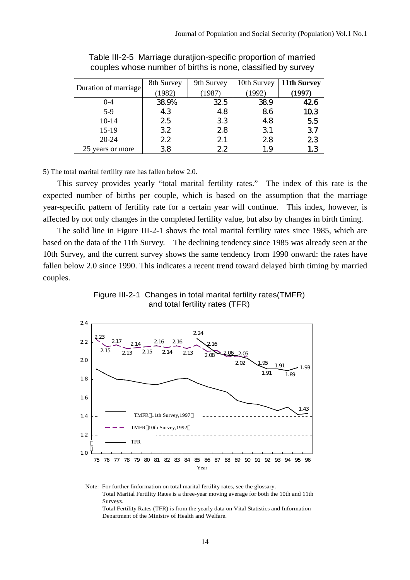|                      | 8th Survey | 9th Survey | 10th Survey | 11th Survey |
|----------------------|------------|------------|-------------|-------------|
| Duration of marriage | (1982)     | (1987)     | (1992)      | (1997)      |
| $0 - 4$              | 38.9%      | 32.5       | 38.9        | 426         |
| $5-9$                | 43         | 48         | 86          | 103         |
| 10-14                | 25         | 33         | 48          | 5.5         |
| 15-19                | 32         | 28         | 31          | 37          |
| $20 - 24$            | 22         | 21         | 28          | 23          |
| 25 years or more     | 38         | 22         | 1.9         | 1.3         |

Table III-2-5 Marriage duratjion-specific proportion of married couples whose number of births is none, classified by survey

5) The total marital fertility rate has fallen below 2.0.

This survey provides yearly "total marital fertility rates." The index of this rate is the expected number of births per couple, which is based on the assumption that the marriage year-specific pattern of fertility rate for a certain year will continue. This index, however, is affected by not only changes in the completed fertility value, but also by changes in birth timing.

The solid line in Figure III-2-1 shows the total marital fertility rates since 1985, which are based on the data of the 11th Survey. The declining tendency since 1985 was already seen at the 10th Survey, and the current survey shows the same tendency from 1990 onward: the rates have fallen below 2.0 since 1990. This indicates a recent trend toward delayed birth timing by married couples.





Note: For further finformation on total marital fertility rates, see the glossary. Total Marital Fertility Rates is a three-year moving average for both the 10th and 11th Surveys. Total Fertility Rates (TFR) is from the yearly data on Vital Statistics and Information Department of the Ministry of Health and Welfare.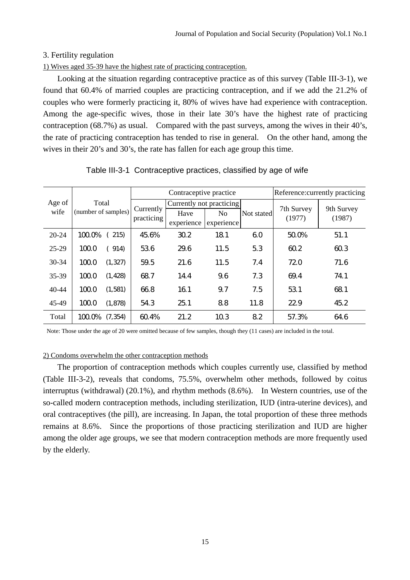## 3. Fertility regulation

1) Wives aged 35-39 have the highest rate of practicing contraception.

Looking at the situation regarding contraceptive practice as of this survey (Table III-3-1), we found that 60.4% of married couples are practicing contraception, and if we add the 21.2% of couples who were formerly practicing it, 80% of wives have had experience with contraception. Among the age-specific wives, those in their late 30's have the highest rate of practicing contraception (68.7%) as usual. Compared with the past surveys, among the wives in their 40's, the rate of practicing contraception has tended to rise in general. On the other hand, among the wives in their 20's and 30's, the rate has fallen for each age group this time.

|           | Total               |          |            | Contraceptive practice   | Reference: currently practicing |            |            |            |  |
|-----------|---------------------|----------|------------|--------------------------|---------------------------------|------------|------------|------------|--|
| Age of    |                     |          | Currently  | Currently not practicing |                                 |            | 7th Survey | 9th Survey |  |
| wife      | (number of samples) |          | practicing | Have                     | No                              | Not stated | (1977)     | (1987)     |  |
|           |                     |          |            | experience               | experience                      |            |            |            |  |
| $20 - 24$ | 100.0%              | 215)     | 45.6%      | 30.2                     | 181                             | 60         | 50.0%      | 51.1       |  |
| 25-29     | 1000                | 914)     | 536        | 29.6                     | 11.5                            | 5.3        | 60.2       | 60.3       |  |
| $30 - 34$ | 1000                | (1, 327) | 59.5       | 21.6                     | 11.5                            | 7.4        | 72.0       | 71.6       |  |
| 35-39     | 1000                | (1, 428) | 68.7       | 14.4                     | 9.6                             | 7.3        | 69.4       | 74.1       |  |
| $40 - 44$ | 1000                | (1, 581) | 66.8       | 16.1                     | 9.7                             | 7.5        | 53.1       | 68.1       |  |
| 45-49     | 1000                | (1, 878) | 543        | 25.1                     | 88                              | 11.8       | 22.9       | 45.2       |  |
| Total     | $100\%$             | (7, 354) | 60.4%      | 21.2                     | 103                             | 82         | 57.3%      | 646        |  |

### Table III-3-1 Contraceptive practices, classified by age of wife

Note: Those under the age of 20 were omitted because of few samples, though they (11 cases) are included in the total.

#### 2) Condoms overwhelm the other contraception methods

The proportion of contraception methods which couples currently use, classified by method (Table III-3-2), reveals that condoms, 75.5%, overwhelm other methods, followed by coitus interruptus (withdrawal) (20.1%), and rhythm methods (8.6%). In Western countries, use of the so-called modern contraception methods, including sterilization, IUD (intra-uterine devices), and oral contraceptives (the pill), are increasing. In Japan, the total proportion of these three methods remains at 8.6%. Since the proportions of those practicing sterilization and IUD are higher among the older age groups, we see that modern contraception methods are more frequently used by the elderly.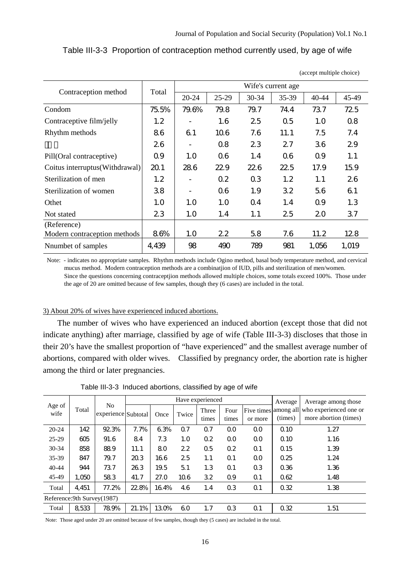(accept multiple choice)

| Contraception method           | Total | 20-24 | 25-29 | Wife's current age<br>30-34<br>35-39<br>40-44<br>73.7<br>79.7<br>74.4<br>72.5<br>25<br>0.5<br>1.0<br>0.8<br>7.6<br>7.5<br>7.4<br>11.1<br>29<br>23<br>27<br>36<br>06<br>0.9<br>1.1<br>1.4<br>226<br>22.5<br>17.9<br>15.9<br>0.3<br>26<br>1.2<br>1.1<br>1.9<br>32<br>61<br>5.6<br>0 <sub>4</sub><br>1.4<br>0.9<br>1.3<br>25<br>20<br>37<br>1.1 | 45-49 |       |       |
|--------------------------------|-------|-------|-------|----------------------------------------------------------------------------------------------------------------------------------------------------------------------------------------------------------------------------------------------------------------------------------------------------------------------------------------------|-------|-------|-------|
| Condom                         | 75.5% | 79.6% | 79.8  |                                                                                                                                                                                                                                                                                                                                              |       |       |       |
| Contraceptive film/jelly       | 1.2   |       | 1.6   |                                                                                                                                                                                                                                                                                                                                              |       |       |       |
| Rhythm methods                 | 86    | 61    | 10.6  |                                                                                                                                                                                                                                                                                                                                              |       |       |       |
|                                | 26    |       | 0.8   |                                                                                                                                                                                                                                                                                                                                              |       |       |       |
| Pill(Oral contraceptive)       | 0.9   | 1.0   | 06    |                                                                                                                                                                                                                                                                                                                                              |       |       |       |
| Coitus interruptus(Withdrawal) | 20.1  | 286   | 22.9  |                                                                                                                                                                                                                                                                                                                                              |       |       |       |
| Sterilization of men           | 1.2   |       | 0.2   |                                                                                                                                                                                                                                                                                                                                              |       |       |       |
| Sterilization of women         | 38    |       | 06    |                                                                                                                                                                                                                                                                                                                                              |       |       |       |
| Othet                          | 1.0   | 1.0   | 1.0   |                                                                                                                                                                                                                                                                                                                                              |       |       |       |
| Not stated                     | 23    | 1.0   | 1.4   |                                                                                                                                                                                                                                                                                                                                              |       |       |       |
| (Reference)                    |       |       |       |                                                                                                                                                                                                                                                                                                                                              |       |       |       |
| Modern contraception methods   | 8.6%  | 1.0   | 22    | 5.8                                                                                                                                                                                                                                                                                                                                          | 7.6   | 11.2  | 128   |
| Nnumbet of samples             | 4,439 | 98    | 490   | 789                                                                                                                                                                                                                                                                                                                                          | 981   | 1,056 | 1,019 |

Table III-3-3 Proportion of contraception method currently used, by age of wife

Note: - indicates no appropriate samples. Rhythm methods include Ogino method, basal body temperature method, and cervical mucus method. Modern contraception methods are a combinatjion of IUD, pills and sterilization of men/women. Since the questions concerning contraceptjion methods allowed multiple choices, some totals exceed 100%. Those under the age of 20 are omitted because of few samples, though they (6 cases) are included in the total.

#### 3) About 20% of wives have experienced induced abortions.

The number of wives who have experienced an induced abortion (except those that did not indicate anything) after marriage, classified by age of wife (Table III-3-3) discloses that those in their 20's have the smallest proportion of "have experienced" and the smallest average number of abortions, compared with older wives. Classified by pregnancy order, the abortion rate is higher among the third or later pregnancies.

|                |                              | N <sub>0</sub>      |       |       |       | Have experienced |                |                | Average     | Average among those                                                  |  |
|----------------|------------------------------|---------------------|-------|-------|-------|------------------|----------------|----------------|-------------|----------------------------------------------------------------------|--|
| Age of<br>wife | Total                        | experience Subtotal |       | Once  | Twice | Three<br>times   | Four<br>times  | or more        | (times)     | Five times among all who experienced one or<br>more abortion (times) |  |
| $20 - 24$      | 142                          | 92.3%               | 7.7%  | 6.3%  | 0.7   | 0.7              | 0 <sub>0</sub> | 0 <sub>0</sub> | Q 10        | 1.27                                                                 |  |
| 25-29          | 605                          | 91.6                | 84    | 7.3   | 1.0   | 0.2              | 0 <sub>0</sub> | 0 <sub>0</sub> | $\Omega$ 10 | 1.16                                                                 |  |
| $30 - 34$      | 858                          | 889                 | 11.1  | 80    | 22    | 0.5              | 0.2            | 0.1            | $\Omega$ 15 | 1.39                                                                 |  |
| 35-39          | 847                          | 79.7                | 20.3  | 166   | 25    | 1.1              | 0.1            | 0 <sub>0</sub> | 0.25        | 1.24                                                                 |  |
| $40 - 44$      | 944                          | 737                 | 26.3  | 19.5  | 51    | 1.3              | 0.1            | 0 <sub>3</sub> | 0.36        | 1.36                                                                 |  |
| 45-49          | 1.050                        | 583                 | 41.7  | 27.0  | 10.6  | 32               | 0.9            | 0.1            | 062         | 1.48                                                                 |  |
| Total          | 4,451                        | 77.2%               | 22.8% | 16.4% | 46    | 1.4              | 0.3            | Q <sub>1</sub> | 0.32        | 1.38                                                                 |  |
|                | Reference: 9th Survey (1987) |                     |       |       |       |                  |                |                |             |                                                                      |  |
| Total          | 8,533                        | 78.9%               | 21.1% | 13.0% | 60    | 1.7              | 0.3            | Q <sub>1</sub> | 0.32        | 1.51                                                                 |  |

Table III-3-3 Induced abortions, classified by age of wife

Note: Those aged under 20 are omitted because of few samples, though they (5 cases) are included in the total.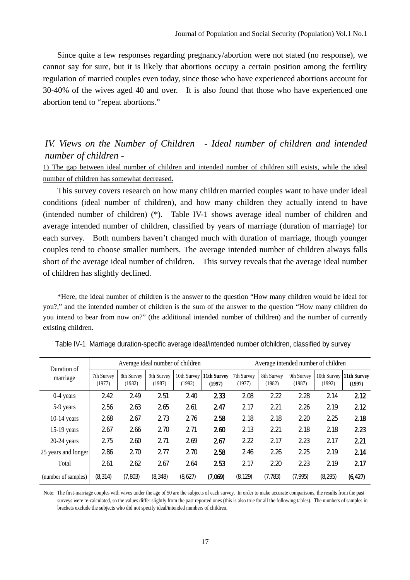Since quite a few responses regarding pregnancy/abortion were not stated (no response), we cannot say for sure, but it is likely that abortions occupy a certain position among the fertility regulation of married couples even today, since those who have experienced abortions account for 30-40% of the wives aged 40 and over. It is also found that those who have experienced one abortion tend to "repeat abortions."

# *IV. Views on the Number of Children - Ideal number of children and intended number of children -*

1) The gap between ideal number of children and intended number of children still exists, while the ideal number of children has somewhat decreased.

This survey covers research on how many children married couples want to have under ideal conditions (ideal number of children), and how many children they actually intend to have (intended number of children) (\*). Table IV-1 shows average ideal number of children and average intended number of children, classified by years of marriage (duration of marriage) for each survey. Both numbers haven't changed much with duration of marriage, though younger couples tend to choose smaller numbers. The average intended number of children always falls short of the average ideal number of children. This survey reveals that the average ideal number of children has slightly declined.

\*Here, the ideal number of children is the answer to the question "How many children would be ideal for you?," and the intended number of children is the sum of the answer to the question "How many children do you intend to bear from now on?" (the additional intended number of children) and the number of currently existing children.

| Duration of         |                      |                      | Average ideal number of children |                       |                       | Average intended number of children |                      |                      |         |                                     |
|---------------------|----------------------|----------------------|----------------------------------|-----------------------|-----------------------|-------------------------------------|----------------------|----------------------|---------|-------------------------------------|
| marriage            | 7th Survey<br>(1977) | 8th Survey<br>(1982) | 9th Survey<br>(1987)             | 10th Survey<br>(1992) | 11th Survey<br>(1997) | 7th Survey<br>(1977)                | 8th Survey<br>(1982) | 9th Survey<br>(1987) | (1992)  | 10th Survey   11th Survey<br>(1997) |
| $0-4$ years         | 242                  | 249                  | 251                              | 240                   | 233                   | 208                                 | 222                  | 2.28                 | 2.14    | 212                                 |
| 5-9 years           | 256                  | 263                  | 265                              | 261                   | 247                   | 217                                 | 2.21                 | 226                  | 219     | 212                                 |
| $10-14$ years       | 268                  | 267                  | 273                              | 276                   | 258                   | 2.18                                | 218                  | 220                  | 225     | 218                                 |
| $15-19$ years       | 267                  | 266                  | 270                              | 271                   | 260                   | 2.13                                | 221                  | 2.18                 | 218     | 223                                 |
| $20-24$ years       | 275                  | 260                  | 271                              | 269                   | 267                   | 222                                 | 217                  | 223                  | 217     | 221                                 |
| 25 years and longer | 286                  | 270                  | 277                              | 270                   | 258                   | 2.46                                | 226                  | 225                  | 219     | 214                                 |
| Total               | 261                  | 262                  | 267                              | 264                   | 253                   | 2.17                                | 220                  | 223                  | 219     | 217                                 |
| (number of samples) | (8,314)              | (7,803)              | (8,348)                          | (8,627)               | (7,069)               | (8, 129)                            | (7,783)              | (7,995)              | (8,295) | (6,427)                             |

| Table IV-1 Marriage duration-specific average ideal/intended number of children, classified by survey |  |  |  |
|-------------------------------------------------------------------------------------------------------|--|--|--|
|                                                                                                       |  |  |  |

Note: The first-marriage couples with wives under the age of 50 are the subjects of each survey. In order to make accurate comparisons, the results from the past surveys were re-calculated, so the values differ slightly from the past reported ones (this is also true for all the following tables). The numbers of samples in brackets exclude the subjects who did not specify ideal/intended numbers of children.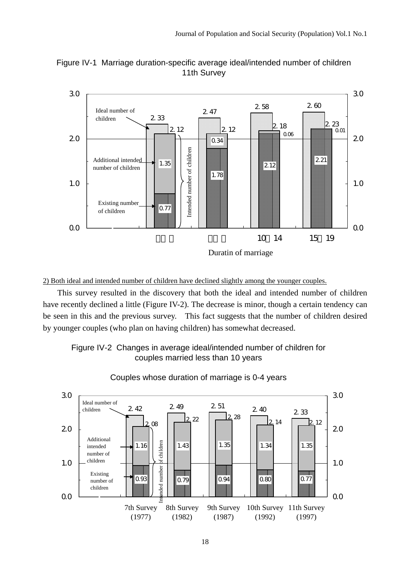

Figure IV-1 Marriage duration-specific average ideal/intended number of children 11th Survey

## 2) Both ideal and intended number of children have declined slightly among the younger couples.

This survey resulted in the discovery that both the ideal and intended number of children have recently declined a little (Figure IV-2). The decrease is minor, though a certain tendency can be seen in this and the previous survey. This fact suggests that the number of children desired by younger couples (who plan on having children) has somewhat decreased.





Couples whose duration of marriage is 0-4 years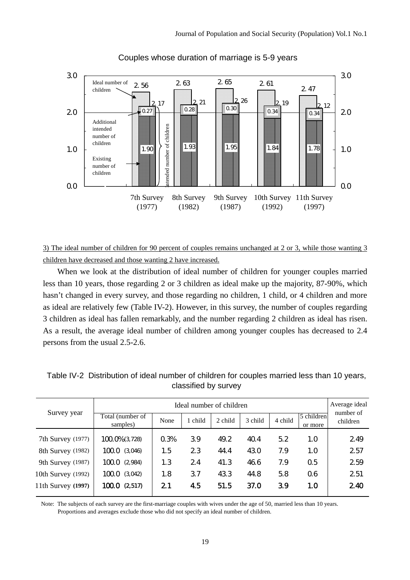

## Couples whose duration of marriage is 5-9 years

3) The ideal number of children for 90 percent of couples remains unchanged at 2 or 3, while those wanting 3 children have decreased and those wanting 2 have increased.

When we look at the distribution of ideal number of children for younger couples married less than 10 years, those regarding 2 or 3 children as ideal make up the majority, 87-90%, which hasn't changed in every survey, and those regarding no children, 1 child, or 4 children and more as ideal are relatively few (Table IV-2). However, in this survey, the number of couples regarding 3 children as ideal has fallen remarkably, and the number regarding 2 children as ideal has risen. As a result, the average ideal number of children among younger couples has decreased to 2.4 persons from the usual 2.5-2.6.

|                    |                              |      | Average ideal |         |         |         |                       |                       |
|--------------------|------------------------------|------|---------------|---------|---------|---------|-----------------------|-----------------------|
| Survey year        | Total (number of<br>samples) | None | 1 child       | 2 child | 3 child | 4 child | 5 children<br>or more | number of<br>children |
| 7th Survey (1977)  | 100.0% (3.728)               | 0.3% | 39            | 49.2    | 40.4    | 5.2     | 1.0                   | 2.49                  |
| 8th Survey (1982)  | 100.0 (3.046)                | 1.5  | 23            | 44.4    | 430     | 7.9     | 1.0                   | 257                   |
| 9th Survey (1987)  | 100.0 (2,984)                | 1.3  | 24            | 41.3    | 46.6    | 7.9     | 0.5                   | 259                   |
| 10th Survey (1992) | $100.0$ $(3.042)$            | 1.8  | 37            | 43.3    | 44.8    | 5.8     | 06                    | 251                   |
| 11th Survey (1997) | 1000 (2517)                  | 21   | 45            | 51.5    | 37.0    | 39      | 1.0                   | 240                   |

Table IV-2 Distribution of ideal number of children for couples married less than 10 years, classified by survey

Note: The subjects of each survey are the first-marriage couples with wives under the age of 50, married less than 10 years. Proportions and averages exclude those who did not specify an ideal number of children.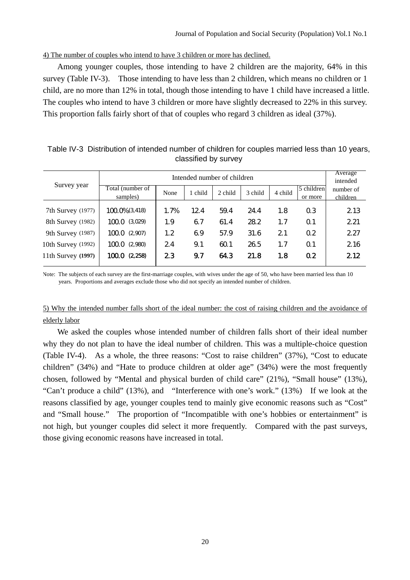#### 4) The number of couples who intend to have 3 children or more has declined.

Among younger couples, those intending to have 2 children are the majority, 64% in this survey (Table IV-3). Those intending to have less than 2 children, which means no children or 1 child, are no more than 12% in total, though those intending to have 1 child have increased a little. The couples who intend to have 3 children or more have slightly decreased to 22% in this survey. This proportion falls fairly short of that of couples who regard 3 children as ideal (37%).

|                    |                    |      | Average<br>intended |         |         |         |                |           |  |
|--------------------|--------------------|------|---------------------|---------|---------|---------|----------------|-----------|--|
| Survey year        | Total (number of   | None | 1 child             | 2 child | 3 child | 4 child | 5 children     | number of |  |
|                    | samples)           |      |                     |         |         |         | or more        | children  |  |
| 7th Survey (1977)  | $1000\%$ $(3.418)$ | 1.7% | 12.4                | 59.4    | 24.4    | 1.8     | 0.3            | 2.13      |  |
| 8th Survey (1982)  | $100.0$ $(3029)$   | 1.9  | 67                  | 61.4    | 28.2    | 1.7     | $\Omega$ 1     | 2.21      |  |
| 9th Survey (1987)  | 100.0~(2,907)      | 1.2  | 69                  | 57.9    | 31.6    | 21      | 0.2            | 2.27      |  |
| 10th Survey (1992) | $100.0$ $(2.980)$  | 24   | 9.1                 | 60.1    | 26.5    | 1.7     | $\Omega$ 1     | 2.16      |  |
| 11th Survey (1997) | 1000(2,258)        | 23   | 9.7                 | 64.3    | 21.8    | 1.8     | 0 <sub>2</sub> | 212       |  |
|                    |                    |      |                     |         |         |         |                |           |  |

Table IV-3 Distribution of intended number of children for couples married less than 10 years, classified by survey

Note: The subjects of each survey are the first-marriage couples, with wives under the age of 50, who have been married less than 10 years. Proportions and averages exclude those who did not specify an intended number of children.

## 5) Why the intended number falls short of the ideal number: the cost of raising children and the avoidance of elderly labor

We asked the couples whose intended number of children falls short of their ideal number why they do not plan to have the ideal number of children. This was a multiple-choice question (Table IV-4). As a whole, the three reasons: "Cost to raise children" (37%), "Cost to educate children" (34%) and "Hate to produce children at older age" (34%) were the most frequently chosen, followed by "Mental and physical burden of child care" (21%), "Small house" (13%), "Can't produce a child" (13%), and "Interference with one's work." (13%) If we look at the reasons classified by age, younger couples tend to mainly give economic reasons such as "Cost" and "Small house." The proportion of "Incompatible with one's hobbies or entertainment" is not high, but younger couples did select it more frequently. Compared with the past surveys, those giving economic reasons have increased in total.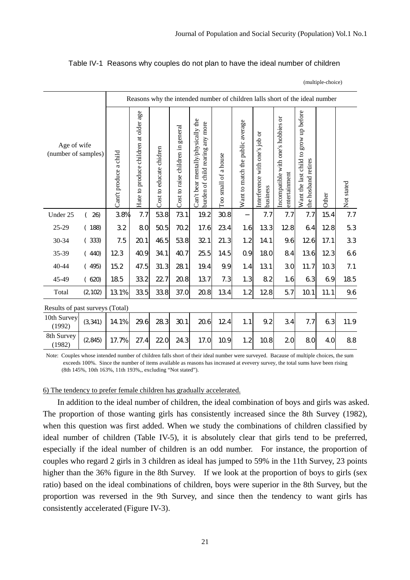### Table IV-1 Reasons why couples do not plan to have the ideal number of children

(multiple-choice)

|                                    |          |                        | Reasons why the intended number of children lalls short of the ideal number |                         |                                   |                                                                           |                      |                                  |                                            |                                                     |                                                                 |       |            |
|------------------------------------|----------|------------------------|-----------------------------------------------------------------------------|-------------------------|-----------------------------------|---------------------------------------------------------------------------|----------------------|----------------------------------|--------------------------------------------|-----------------------------------------------------|-----------------------------------------------------------------|-------|------------|
| Age of wife<br>(number of samples) |          | Cant't produce a child | Hate to produce children at older age                                       | Cost to educate chidren | Cost to raise children in general | Can't bear mentally/physically the<br>child rearing any more<br>burden of | Too small of a house | Want to match the public average | Interference with one's job or<br>business | Incompatible with one's hobbies or<br>entertainment | grow up before<br>Want the last child to<br>the hosband retires | Other | Not stated |
| Under 25                           | 26)      | 38%                    | 7.7                                                                         | 538                     | 731                               | 19.2                                                                      | 30.8                 |                                  | 7.7                                        | 7.7                                                 | 7.7                                                             | 15.4  | 7.7        |
| 25-29                              | (188)    | 32                     | 80                                                                          | 50.5                    | 70.2                              | 17.6                                                                      | 234                  | 1.6                              | 133                                        | 128                                                 | 64                                                              | 128   | 5.3        |
| 30-34                              | (333)    | 7.5                    | 201                                                                         | 46.5                    | 538                               | 32.1                                                                      | 21.3                 | 1.2                              | 14.1                                       | 9.6                                                 | 126                                                             | 17.1  | 33         |
| 35-39                              | (440)    | 123                    | 40.9                                                                        | 34.1                    | 40.7                              | 25.5                                                                      | 14.5                 | 0.9                              | 180                                        | 84                                                  | 136                                                             | 123   | 66         |
| 40-44                              | (495)    | 15.2                   | 47.5                                                                        | 31.3                    | 281                               | 19.4                                                                      | 9.9                  | 1.4                              | 131                                        | 30                                                  | 11.7                                                            | 10.3  | 7.1        |
| 45-49                              | (620)    | 185                    | 332                                                                         | 22.7                    | 20.8                              | 137                                                                       | 7.3                  | 1.3                              | 82                                         | 1.6                                                 | 63                                                              | 69    | 185        |
| Total                              | (2, 102) | 13.1%                  | 335                                                                         | 33.8                    | 37.0                              | 20.8                                                                      | 134                  | 1.2                              | 128                                        | 5.7                                                 | 10.1                                                            | 11.1  | 9.6        |
| Results of past surveys (Total)    |          |                        |                                                                             |                         |                                   |                                                                           |                      |                                  |                                            |                                                     |                                                                 |       |            |
| 10th Survey<br>(1992)              | (3,341)  | 14.1%                  | 29.6                                                                        | 28.3                    | 30.1                              | 20.6                                                                      | 124                  | 1.1                              | 9.2                                        | 34                                                  | 7.7                                                             | 63    | 11.9       |
| 8th Survey<br>(1982)               | (2, 845) | 17.7%                  | 27.4                                                                        | 220                     | 24.3                              | 17.0                                                                      | 10.9                 | 1.2                              | 10.8                                       | 20                                                  | 80                                                              | 40    | 88         |

Note: Couples whose intended number of children falls short of their ideal number were surveyed. Bacause of multiple choices, the sum exceeds 100%. Since the number of items available as reasons has increased at evevery survey, the total sums have been rising (8th 145%, 10th 163%, 11th 193%,, excluding "Not stated").

#### 6) The tendency to prefer female children has gradually accelerated.

In addition to the ideal number of children, the ideal combination of boys and girls was asked. The proportion of those wanting girls has consistently increased since the 8th Survey (1982), when this question was first added. When we study the combinations of children classified by ideal number of children (Table IV-5), it is absolutely clear that girls tend to be preferred, especially if the ideal number of children is an odd number. For instance, the proportion of couples who regard 2 girls in 3 children as ideal has jumped to 59% in the 11th Survey, 23 points higher than the 36% figure in the 8th Survey. If we look at the proportion of boys to girls (sex ratio) based on the ideal combinations of children, boys were superior in the 8th Survey, but the proportion was reversed in the 9th Survey, and since then the tendency to want girls has consistently accelerated (Figure IV-3).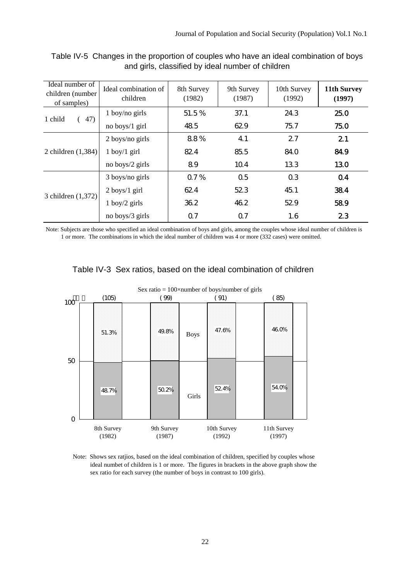| Ideal number of<br>children (number<br>of samples) | Ideal combination of<br>children | 8th Survey<br>(1982) | 9th Survey<br>(1987) | 10th Survey<br>(1992) | 11th Survey<br>(1997) |
|----------------------------------------------------|----------------------------------|----------------------|----------------------|-----------------------|-----------------------|
| 1 child<br>47)                                     | $1$ boy/no girls                 | 51.5%                | 37.1                 | 24.3                  | 25.0                  |
|                                                    | no boys/1 girl                   | 485                  | 62.9                 | 75.7                  | 75.0                  |
|                                                    | $2$ boys/no girls                | 88%                  | 41                   | 27                    | 21                    |
| 2 children $(1,384)$                               | $1$ boy/ $1$ girl                | 824                  | 85.5                 | 84.0                  | 84.9                  |
|                                                    | no boys/2 girls                  | 89                   | 10.4                 | 133                   | 130                   |
|                                                    | 3 boys/no girls                  | 0.7%                 | 0.5                  | 0.3                   | 04                    |
|                                                    | $2$ boys/1 girl                  | 624                  | 523                  | 45.1                  | 384                   |
| 3 children (1,372)                                 | $1$ boy/ $2$ girls               | 36.2                 | 46.2                 | 52.9                  | 589                   |
|                                                    | no boys/3 girls                  | 0.7                  | 0.7                  | 1.6                   | 23                    |

## Table IV-5 Changes in the proportion of couples who have an ideal combination of boys and girls, classified by ideal number of children

Note: Subjects are those who specified an ideal combination of boys and girls, among the couples whose ideal number of children is 1 or more. The combinations in which the ideal number of children was 4 or more (332 cases) were omitted.



# Table IV-3 Sex ratios, based on the ideal combination of children

Note: Shows sex ratjios, based on the ideal combination of children, specified by couples whose ideal numbet of children is 1 or more. The figures in brackets in the above graph show the sex ratio for each survey (the number of boys in contrast to 100 girls).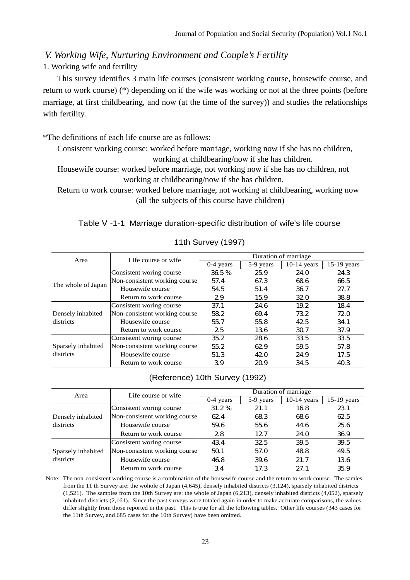*V. Working Wife, Nurturing Environment and Couple's Fertility* 

1. Working wife and fertility

This survey identifies 3 main life courses (consistent working course, housewife course, and return to work course) (\*) depending on if the wife was working or not at the three points (before marriage, at first childbearing, and now (at the time of the survey)) and studies the relationships with fertility.

\*The definitions of each life course are as follows:

Consistent working course: worked before marriage, working now if she has no children, working at childbearing/now if she has children.

Housewife course: worked before marriage, not working now if she has no children, not working at childbearing/now if she has children.

Return to work course: worked before marriage, not working at childbearing, working now (all the subjects of this course have children)

Table -1-1 Marriage duration-specific distribution of wife's life course

| Area               | Life course or wife           | Duration of marriage |           |               |               |  |  |
|--------------------|-------------------------------|----------------------|-----------|---------------|---------------|--|--|
|                    |                               | $0-4$ years          | 5-9 years | $10-14$ years | $15-19$ years |  |  |
|                    | Consistent woring course      | 36.5%                | 25.9      | 24.O          | 24.3          |  |  |
| The whole of Japan | Non-consistent working course | 57.4                 | 67.3      | 68.6          | 66.5          |  |  |
|                    | Housewife course              | 54.5                 | 51.4      | 36.7          | 27.7          |  |  |
|                    | Return to work course         | 29                   | 15.9      | 32.0          | 38.8          |  |  |
|                    | Consistent woring course      | 37.1                 | 24.6      | 19.2          | 184           |  |  |
| Densely inhabited  | Non-consistent working course | 582                  | 69.4      | 73.2          | 72.0          |  |  |
| districts          | Housewife course              | 55.7                 | 55.8      | 42.5          | 34.1          |  |  |
|                    | Return to work course         | 25                   | 136       | 30.7          | 37.9          |  |  |
|                    | Consistent woring course      | 35.2                 | 286       | 33.5          | 33.5          |  |  |
| Sparsely inhabited | Non-consistent working course | 55.2                 | 62.9      | 59.5          | 57.8          |  |  |
| districts          | Housewife course              | 51.3                 | 420       | 24.9          | 17.5          |  |  |
|                    | Return to work course         | 39                   | 20.9      | 34.5          | 40.3          |  |  |

## 11th Survey (1997)

## (Reference) 10th Survey (1992)

| Area               | Life course or wife           | Duration of marriage |           |               |               |  |  |
|--------------------|-------------------------------|----------------------|-----------|---------------|---------------|--|--|
|                    |                               | $0-4$ years          | 5-9 years | $10-14$ years | $15-19$ years |  |  |
|                    | Consistent woring course      | 31.2%                | 21.1      | 16.8          | 231           |  |  |
| Densely inhabited  | Non-consistent working course | 62.4                 | 683       | 68.6          | 62.5          |  |  |
| districts          | Housewife course              | 59.6                 | 55.6      | 44.6          | 25.6          |  |  |
|                    | Return to work course         | 28                   | 12.7      | 24.0          | 36.9          |  |  |
|                    | Consistent woring course      | 434                  | 32.5      | 39.5          | 39.5          |  |  |
| Sparsely inhabited | Non-consistent working course | 501                  | 57.0      | 48.8          | 49.5          |  |  |
| districts          | Housewife course              | 46.8                 | 39.6      | 21.7          | 136           |  |  |
|                    | Return to work course         | 34                   | 17.3      | 27.1          | 35.9          |  |  |

Note: The non-consistent working course is a combination of the housewife course and the return to work course. The samles from the 11 th Survey are: the wohole of Japan (4,645), densely inhabited districts (3,124), sparsely inhabited districts (1,521). The samples from the 10th Survey are: the whole of Japan (6,213), densely inhabited districts (4,052), sparsely inhabited districts (2,161). Since the past surveys were totaled again in order to make accurate comparisons, the values differ slightly from those reported in the past. This is true for all the following tables. Other life courses (343 cases for the 11th Survey, and 685 cases for the 10th Survey) have been omitted.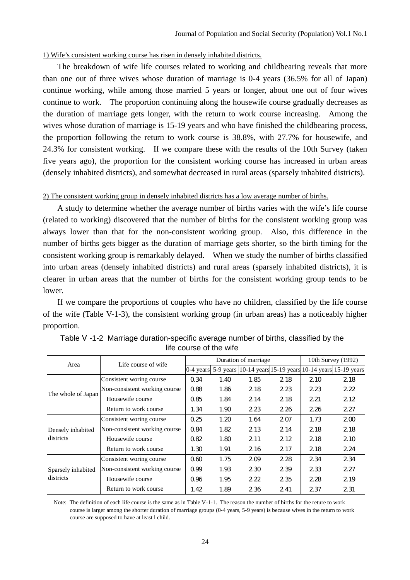#### 1) Wife's consistent working course has risen in densely inhabited districts.

The breakdown of wife life courses related to working and childbearing reveals that more than one out of three wives whose duration of marriage is 0-4 years (36.5% for all of Japan) continue working, while among those married 5 years or longer, about one out of four wives continue to work. The proportion continuing along the housewife course gradually decreases as the duration of marriage gets longer, with the return to work course increasing. Among the wives whose duration of marriage is 15-19 years and who have finished the childbearing process, the proportion following the return to work course is 38.8%, with 27.7% for housewife, and 24.3% for consistent working. If we compare these with the results of the 10th Survey (taken five years ago), the proportion for the consistent working course has increased in urban areas (densely inhabited districts), and somewhat decreased in rural areas (sparsely inhabited districts).

#### 2) The consistent working group in densely inhabited districts has a low average number of births.

A study to determine whether the average number of births varies with the wife's life course (related to working) discovered that the number of births for the consistent working group was always lower than that for the non-consistent working group. Also, this difference in the number of births gets bigger as the duration of marriage gets shorter, so the birth timing for the consistent working group is remarkably delayed. When we study the number of births classified into urban areas (densely inhabited districts) and rural areas (sparsely inhabited districts), it is clearer in urban areas that the number of births for the consistent working group tends to be lower.

If we compare the proportions of couples who have no children, classified by the life course of the wife (Table V-1-3), the consistent working group (in urban areas) has a noticeably higher proportion.

| Area               | Life course of wife           |                      | Duration of marriage |                                                           | 10th Survey (1992) |      |      |
|--------------------|-------------------------------|----------------------|----------------------|-----------------------------------------------------------|--------------------|------|------|
|                    |                               | $ 0-4 \rangle$ vears |                      | 5-9 years 10-14 years 15-19 years 10-14 years 15-19 years |                    |      |      |
|                    | Consistent woring course      | 0.34                 | 1.40                 | 1.85                                                      | 2.18               | 2.10 | 2.18 |
|                    | Non-consistent working course | 0.88                 | 1.86                 | 2.18                                                      | 2.23               | 2.23 | 2.22 |
| The whole of Japan | Housewife course              | 0.85                 | 1.84                 | 2.14                                                      | 2.18               | 2.21 | 2.12 |
|                    | Return to work course         | 1.34                 | 1.90                 | 2.23                                                      | 2.26               | 2.26 | 2.27 |
|                    | Consistent woring course      | 0.25                 | 1,20                 | 1.64                                                      | 207                | 1.73 | 200  |
| Densely inhabited  | Non-consistent working course | 0.84                 | 1.82                 | 2.13                                                      | 2.14               | 2.18 | 2.18 |
| districts          | Housewife course              | 0.82                 | 1.80                 | 2.11                                                      | 2.12               | 2.18 | 2.10 |
|                    | Return to work course         | 1.30                 | 1.91                 | 2.16                                                      | 2.17               | 2.18 | 2.24 |
|                    | Consistent woring course      | 0.60                 | 1.75                 | 209                                                       | 2.28               | 2.34 | 2.34 |
| Sparsely inhabited | Non-consistent working course | 0.99                 | 1.93                 | 2.30                                                      | 239                | 233  | 2.27 |
| districts          | Housewife course              | 0.96                 | 1.95                 | 2.22                                                      | 235                | 2.28 | 2.19 |
|                    | Return to work course         | 1.42                 | 1.89                 | 2.36                                                      | 2.41               | 2.37 | 2.31 |

| Table -1-2 Marriage duration-specific average number of births, classified by the |
|-----------------------------------------------------------------------------------|
| life course of the wife                                                           |

Note: The definition of each life course is the same as in Table V-1-1. The reason the number of births for the reture to work course is larger among the shorter duration of marriage groups (0-4 years, 5-9 years) is because wives in the return to work course are supposed to have at least l child.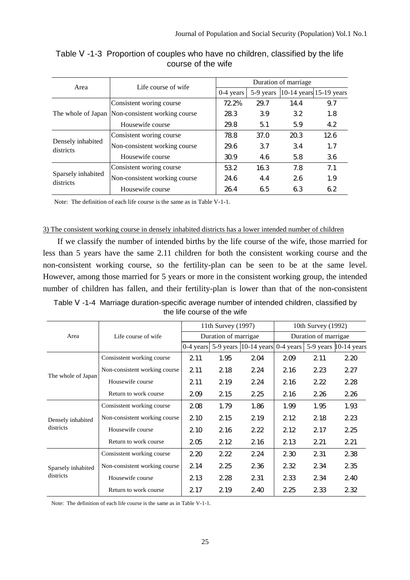| Area                            | Life course of wife                              | Duration of marriage |           |                                             |     |  |  |
|---------------------------------|--------------------------------------------------|----------------------|-----------|---------------------------------------------|-----|--|--|
|                                 |                                                  | $0-4$ years          | 5-9 years | $ 10-14 \text{ years} 15-19 \text{ years} $ |     |  |  |
|                                 | Consistent woring course                         | 72.2%                | 29.7      | 14.4                                        | 9.7 |  |  |
|                                 | The whole of Japan Non-consistent working course | 28.3                 | 39        | 32                                          | 1.8 |  |  |
|                                 | Housewife course                                 | 29.8                 | 51        | 5.9                                         | 4.2 |  |  |
|                                 | Consistent woring course                         | 78.8                 | 37.0      | 20.3                                        | 126 |  |  |
| Densely inhabited<br>districts  | Non-consistent working course                    | 296                  | 37        | 34                                          | 1.7 |  |  |
|                                 | Housewife course                                 | 30.9                 | 4.6       | 5.8                                         | 36  |  |  |
|                                 | Consistent woring course                         | 532                  | 16.3      | 7.8                                         | 7.1 |  |  |
| Sparsely inhabited<br>districts | Non-consistent working course                    | 24.6                 | 4.4       | 26                                          | 1.9 |  |  |
|                                 | Housewife course                                 | 264                  | 65        | 63                                          | 62  |  |  |

Table -1-3 Proportion of couples who have no children, classified by the life course of the wife

Note: The definition of each life course is the same as in Table V-1-1.

## 3) The consistent working course in densely inhabited districts has a lower intended number of children

If we classify the number of intended births by the life course of the wife, those married for less than 5 years have the same 2.11 children for both the consistent working course and the non-consistent working course, so the fertility-plan can be seen to be at the same level. However, among those married for 5 years or more in the consistent working group, the intended number of children has fallen, and their fertility-plan is lower than that of the non-consistent

| Table | -1-4 Marriage duration-specific average number of intended children, classified by |  |
|-------|------------------------------------------------------------------------------------|--|
|       | the life course of the wife                                                        |  |

|                    |                               |      | 11th Survey (1997)   |                                       | 10th Survey (1992)   |      |                          |  |
|--------------------|-------------------------------|------|----------------------|---------------------------------------|----------------------|------|--------------------------|--|
| Area               | Life course of wife           |      | Duration of marrigae |                                       | Duration of marrigae |      |                          |  |
|                    |                               |      |                      | 0-4 years $ 5-9$ years $ 10-14$ years | $0-4$ years          |      | 5-9 years $ 10-14$ years |  |
|                    | Consisstent working course    | 2.11 | 1.95                 | 204                                   | 209                  | 2.11 | 2.20                     |  |
| The whole of Japan | Non-consistent working course | 2.11 | 2.18                 | 2.24                                  | 2.16                 | 2.23 | 2.27                     |  |
|                    | Housewife course              | 2.11 | 2.19                 | 2.24                                  | 2.16                 | 2.22 | 2.28                     |  |
|                    | Return to work course         | 209  | 2.15                 | 2.25                                  | 2.16                 | 2.26 | 2.26                     |  |
|                    | Consisstent working course    | 208  | 1.79                 | 1.86                                  | 1.99                 | 1.95 | 1.93                     |  |
| Densely inhabited  | Non-consistent working course | 2.10 | 215                  | 2.19                                  | 2.12                 | 2.18 | 223                      |  |
| districts          | Housewife course              | 2.10 | 216                  | 222                                   | 2.12                 | 2.17 | 2.25                     |  |
|                    | Return to work course         | 205  | 212                  | 2.16                                  | 2.13                 | 2.21 | 2.21                     |  |
|                    | Consisstent working course    | 2.20 | 222                  | 2.24                                  | 230                  | 2.31 | 238                      |  |
| Sparsely inhabited | Non-consistent working course | 2.14 | 225                  | 236                                   | 232                  | 234  | 235                      |  |
| districts          | Housewife course              | 2.13 | 228                  | 231                                   | 233                  | 234  | 240                      |  |
|                    | Return to work course         | 2.17 | 2.19                 | 2.40                                  | 2.25                 | 233  | 232                      |  |

Note: The definition of each life course is the same as in Table V-1-1.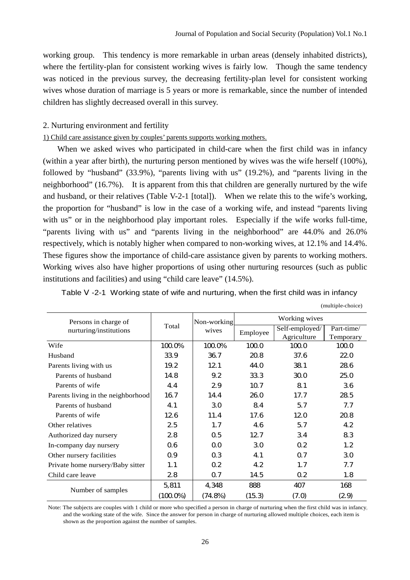working group. This tendency is more remarkable in urban areas (densely inhabited districts), where the fertility-plan for consistent working wives is fairly low. Though the same tendency was noticed in the previous survey, the decreasing fertility-plan level for consistent working wives whose duration of marriage is 5 years or more is remarkable, since the number of intended children has slightly decreased overall in this survey.

#### 2. Nurturing environment and fertility

#### 1) Child care assistance given by couples' parents supports working mothers.

When we asked wives who participated in child-care when the first child was in infancy (within a year after birth), the nurturing person mentioned by wives was the wife herself (100%), followed by "husband" (33.9%), "parents living with us" (19.2%), and "parents living in the neighborhood" (16.7%). It is apparent from this that children are generally nurtured by the wife and husband, or their relatives (Table V-2-1 [total]). When we relate this to the wife's working, the proportion for "husband" is low in the case of a working wife, and instead "parents living with us" or in the neighborhood play important roles. Especially if the wife works full-time, "parents living with us" and "parents living in the neighborhood" are 44.0% and 26.0% respectively, which is notably higher when compared to non-working wives, at 12.1% and 14.4%. These figures show the importance of child-care assistance given by parents to working mothers. Working wives also have higher proportions of using other nurturing resources (such as public institutions and facilities) and using "child care leave" (14.5%).

| Persons in charge of               | Total       | Non-working      | Working wives |                  |            |  |
|------------------------------------|-------------|------------------|---------------|------------------|------------|--|
| nurturing/institutions             |             | wives            | Employee      | Self-employed/   | Part-time/ |  |
|                                    |             |                  |               | Agriculture      | Temporary  |  |
| Wife                               | 100.0%      | 100.0%           | 1000          | 1000             | 1000       |  |
| Husband                            | 33.9        | 36.7             | 20.8          | 37.6             | 220        |  |
| Parents living with us             | 19.2        | 12.1             | 44.0          | 38.1             | 286        |  |
| Parents of husband                 | 14.8        | 9.2              | 333           | 300              | 25.0       |  |
| Parents of wife                    | 44          | 29               | 10.7          | 81               | 36         |  |
| Parents living in the neighborhood | 16.7        | 14.4             | 26.0          | 17.7             | 285        |  |
| Parents of husband                 | 4.1         | 30               | 84            | 5.7              | 7.7        |  |
| Parents of wife                    | 126         | 11.4             | 17.6          | 120              | 20.8       |  |
| Other relatives                    | 25          | 1.7              | 46            | 5.7              | 42         |  |
| Authorized day nursery             | 28          | 0.5              | 12.7          | 34               | 83         |  |
| In-company day nursery             | 06          | 0 <sub>0</sub>   | 30            | 0.2 <sub>0</sub> | 1.2        |  |
| Other nursery facilities           | 0.9         | 0.3              | 4.1           | 0.7              | 30         |  |
| Private home nursery/Baby sitter   | 1.1         | 0.2 <sub>0</sub> | 42            | 1.7              | 7.7        |  |
| Child care leave                   | 28          | 0.7              | 14.5          | 0.2              | 1.8        |  |
|                                    | 5,811       | 4,348            | 888           | 407              | 168        |  |
| Number of samples                  | $(100.0\%)$ | (74.8%)          | (15.3)        | (7.0)            | (29)       |  |

Table -2-1 Working state of wife and nurturing, when the first child was in infancy

|  | (multiple-choice) |  |
|--|-------------------|--|
|--|-------------------|--|

Note: The subjects are couples with 1 child or more who specified a person in charge of nurturing when the first child was in infancy, and the working state of the wife. Since the answer for person in charge of nurturing allowed multiple choices, each item is shown as the proportion against the number of samples.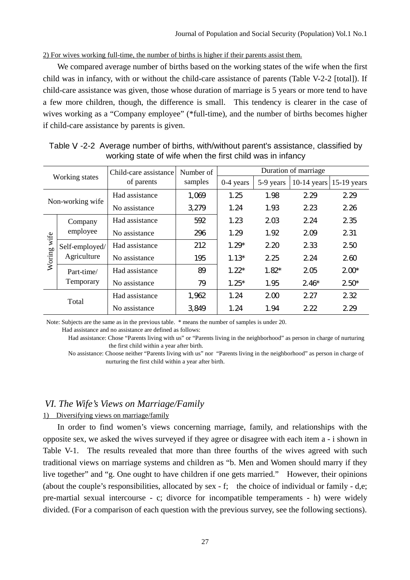2) For wives working full-time, the number of births is higher if their parents assist them.

We compared average number of births based on the working states of the wife when the first child was in infancy, with or without the child-care assistance of parents (Table V-2-2 [total]). If child-care assistance was given, those whose duration of marriage is 5 years or more tend to have a few more children, though, the difference is small. This tendency is clearer in the case of wives working as a "Company employee" (\*full-time), and the number of births becomes higher if child-care assistance by parents is given.

| Working states   |                               | Child-care assistance | Number of | Duration of marriage |           |               |               |  |
|------------------|-------------------------------|-----------------------|-----------|----------------------|-----------|---------------|---------------|--|
|                  |                               | of parents            | samples   | $0-4$ years          | 5-9 years | $10-14$ years | $15-19$ years |  |
| Non-working wife |                               | Had assistance        | 1,069     | 1.25                 | 1.98      | 2.29          | 2.29          |  |
|                  |                               | No assistance         | 3.279     | 1.24                 | 1.93      | 223           | 2.26          |  |
| Woring wife      | Company<br>employee           | Had assistance        | 592       | 1.23                 | 203       | 2.24          | 235           |  |
|                  |                               | No assistance         | 296       | 1.29                 | 1.92      | 209           | 2.31          |  |
|                  | Self-employed/<br>Agriculture | Had assistance        | 212       | $1.29*$              | 2.20      | 233           | 2.50          |  |
|                  |                               | No assistance         | 195       | $1.13*$              | 2.25      | 2.24          | 260           |  |
|                  | Part-time/<br>Temporary       | Had assistance        | 89        | $1.22*$              | $1.82*$   | 205           | $200*$        |  |
|                  |                               | No assistance         | 79        | $1.25*$              | 1.95      | $2.46*$       | $2.50*$       |  |
|                  | Total                         | Had assistance        | 1,962     | 1.24                 | 200       | 2.27          | 232           |  |
|                  |                               | No assistance         | 3849      | 1.24                 | 1.94      | 2.22          | 2.29          |  |

Table -2-2 Average number of births, with/without parent's assistance, classified by working state of wife when the first child was in infancy

Note: Subjects are the same as in the previous table. \* means the number of samples is under 20.

Had assistance and no assistance are defined as follows:

 Had assistance: Chose "Parents living with us" or "Parents living in the neighborhood" as person in charge of nurturing the first child within a year after birth.

 No assistance: Choose neither "Parents living with us" nor "Parents living in the neighborhood" as person in charge of nurturing the first child within a year after birth.

## *VI. The Wife's Views on Marriage/Family*

## 1) Diversifying views on marriage/family

In order to find women's views concerning marriage, family, and relationships with the opposite sex, we asked the wives surveyed if they agree or disagree with each item a - i shown in Table V-1. The results revealed that more than three fourths of the wives agreed with such traditional views on marriage systems and children as "b. Men and Women should marry if they live together" and "g. One ought to have children if one gets married." However, their opinions (about the couple's responsibilities, allocated by sex - f; the choice of individual or family - d,e; pre-martial sexual intercourse - c; divorce for incompatible temperaments - h) were widely divided. (For a comparison of each question with the previous survey, see the following sections).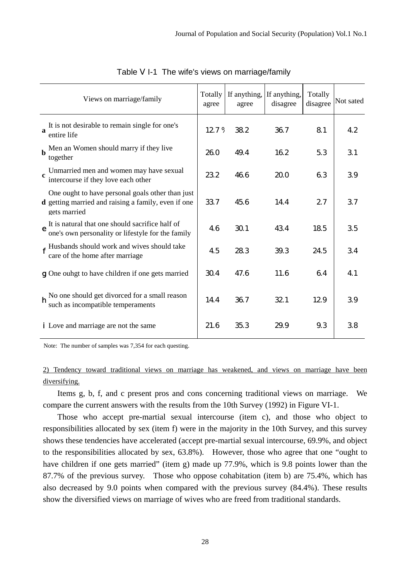| Views on marriage/family                                                                                                       | Totally<br>agree | If anything,<br>agree | If anything,<br>disagree | Totally<br>disagree | Not sated |
|--------------------------------------------------------------------------------------------------------------------------------|------------------|-----------------------|--------------------------|---------------------|-----------|
| It is not desirable to remain single for one's<br>a<br>entire life                                                             | 127%             | 38.2                  | 36.7                     | 81                  | 42        |
| Men an Women should marry if they live<br>together                                                                             | 26.0             | 49.4                  | 16.2                     | 5.3                 | 31        |
| Unmarried men and women may have sexual<br>$\mathbf{c}$<br>intercourse if they love each other                                 | 232              | 46.6                  | 20.0                     | 63                  | 39        |
| One ought to have personal goals other than just<br><b>d</b> getting married and raising a family, even if one<br>gets married | 337              | 45.6                  | 14.4                     | 27                  | 37        |
| It is natural that one should sacrifice half of<br>e<br>one's own personality or lifestyle for the family                      | 46               | 30.1                  | 434                      | 185                 | 35        |
| f Husbands should work and wives should take<br>care of the home after marriage                                                | 45               | 283                   | 39.3                     | 24.5                | 34        |
| g One ouhgt to have children if one gets married                                                                               | 30.4             | 47.6                  | 11.6                     | 64                  | 41        |
| h No one should get divorced for a small reason<br>such as incompatible temperaments                                           | 14.4             | 36.7                  | 32.1                     | 129                 | 39        |
| <i>i</i> Love and marriage are not the same                                                                                    | 21.6             | 35.3                  | 29.9                     | 9.3                 | 38        |

Table I-1 The wife's views on marriage/family

Note: The number of samples was 7,354 for each questing.

2) Tendency toward traditional views on marriage has weakened, and views on marriage have been diversifying.

Items g, b, f, and c present pros and cons concerning traditional views on marriage. We compare the current answers with the results from the 10th Survey (1992) in Figure VI-1.

Those who accept pre-martial sexual intercourse (item c), and those who object to responsibilities allocated by sex (item f) were in the majority in the 10th Survey, and this survey shows these tendencies have accelerated (accept pre-martial sexual intercourse, 69.9%, and object to the responsibilities allocated by sex, 63.8%). However, those who agree that one "ought to have children if one gets married" (item g) made up 77.9%, which is 9.8 points lower than the 87.7% of the previous survey. Those who oppose cohabitation (item b) are 75.4%, which has also decreased by 9.0 points when compared with the previous survey (84.4%). These results show the diversified views on marriage of wives who are freed from traditional standards.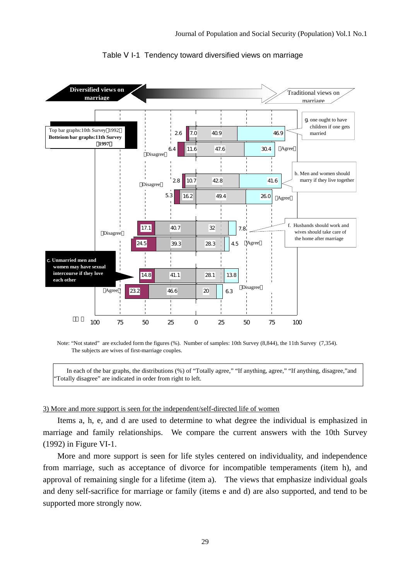

Table I-1 Tendency toward diversified views on marriage

Note: "Not stated" are excluded form the figures (%). Number of samples: 10th Survey (8,844), the 11th Survey (7,354). The subjects are wives of first-marriage couples.

In each of the bar graphs, the distributions (%) of "Totally agree," "If anything, agree," "If anything, disagree," and "Totally disagree" are indicated in order from right to left.

#### 3) More and more support is seen for the independent/self-directed life of women

Items a, h, e, and d are used to determine to what degree the individual is emphasized in marriage and family relationships. We compare the current answers with the 10th Survey (1992) in Figure VI-1.

More and more support is seen for life styles centered on individuality, and independence from marriage, such as acceptance of divorce for incompatible temperaments (item h), and approval of remaining single for a lifetime (item a). The views that emphasize individual goals and deny self-sacrifice for marriage or family (items e and d) are also supported, and tend to be supported more strongly now.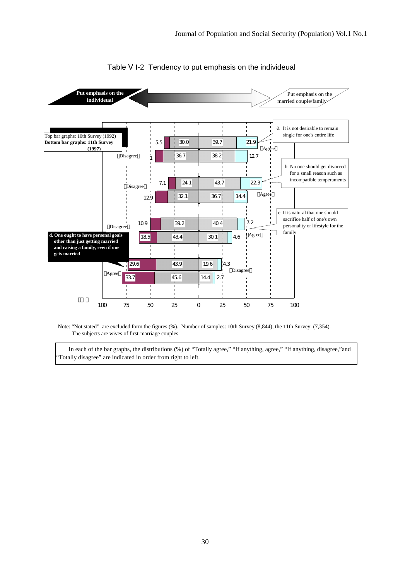

#### Table I-2 Tendency to put emphasis on the individeual

Note: "Not stated" are excluded form the figures (%). Number of samples: 10th Survey (8,844), the 11th Survey (7,354). The subjects are wives of first-marriage couples.

In each of the bar graphs, the distributions (%) of "Totally agree," "If anything, agree," "If anything, disagree," and "Totally disagree" are indicated in order from right to left.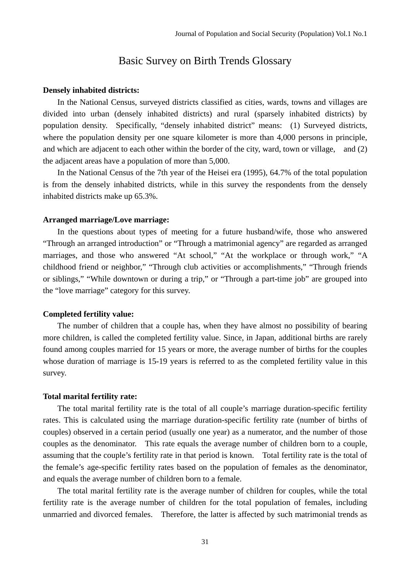# Basic Survey on Birth Trends Glossary

#### **Densely inhabited districts:**

In the National Census, surveyed districts classified as cities, wards, towns and villages are divided into urban (densely inhabited districts) and rural (sparsely inhabited districts) by population density. Specifically, "densely inhabited district" means: (1) Surveyed districts, where the population density per one square kilometer is more than 4,000 persons in principle, and which are adjacent to each other within the border of the city, ward, town or village, and (2) the adjacent areas have a population of more than 5,000.

In the National Census of the 7th year of the Heisei era (1995), 64.7% of the total population is from the densely inhabited districts, while in this survey the respondents from the densely inhabited districts make up 65.3%.

#### **Arranged marriage/Love marriage:**

In the questions about types of meeting for a future husband/wife, those who answered "Through an arranged introduction" or "Through a matrimonial agency" are regarded as arranged marriages, and those who answered "At school," "At the workplace or through work," "A childhood friend or neighbor," "Through club activities or accomplishments," "Through friends or siblings," "While downtown or during a trip," or "Through a part-time job" are grouped into the "love marriage" category for this survey.

## **Completed fertility value:**

The number of children that a couple has, when they have almost no possibility of bearing more children, is called the completed fertility value. Since, in Japan, additional births are rarely found among couples married for 15 years or more, the average number of births for the couples whose duration of marriage is 15-19 years is referred to as the completed fertility value in this survey.

#### **Total marital fertility rate:**

The total marital fertility rate is the total of all couple's marriage duration-specific fertility rates. This is calculated using the marriage duration-specific fertility rate (number of births of couples) observed in a certain period (usually one year) as a numerator, and the number of those couples as the denominator. This rate equals the average number of children born to a couple, assuming that the couple's fertility rate in that period is known. Total fertility rate is the total of the female's age-specific fertility rates based on the population of females as the denominator, and equals the average number of children born to a female.

The total marital fertility rate is the average number of children for couples, while the total fertility rate is the average number of children for the total population of females, including unmarried and divorced females. Therefore, the latter is affected by such matrimonial trends as